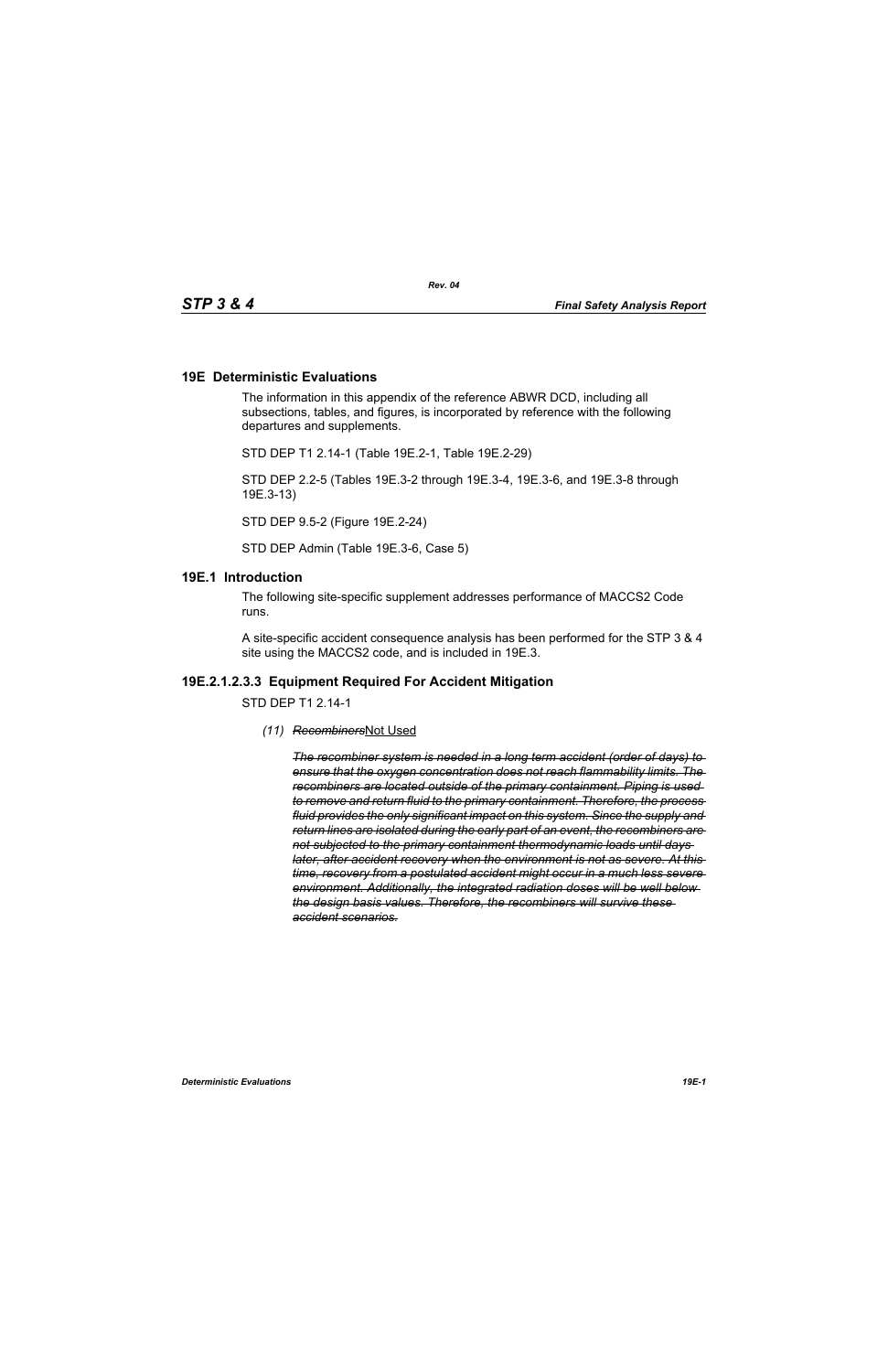#### **19E Deterministic Evaluations**

The information in this appendix of the reference ABWR DCD, including all subsections, tables, and figures, is incorporated by reference with the following departures and supplements.

STD DEP T1 2.14-1 (Table 19E.2-1, Table 19E.2-29)

STD DEP 2.2-5 (Tables 19E.3-2 through 19E.3-4, 19E.3-6, and 19E.3-8 through 19E.3-13)

STD DEP 9.5-2 (Figure 19E.2-24)

STD DEP Admin (Table 19E.3-6, Case 5)

#### **19E.1 Introduction**

The following site-specific supplement addresses performance of MACCS2 Code runs.

A site-specific accident consequence analysis has been performed for the STP 3 & 4 site using the MACCS2 code, and is included in 19E.3.

#### **19E.2.1.2.3.3 Equipment Required For Accident Mitigation**

STD DEP T1 2.14-1

*(11) Recombiners*Not Used

*The recombiner system is needed in a long term accident (order of days) to ensure that the oxygen concentration does not reach flammability limits. The recombiners are located outside of the primary containment. Piping is used to remove and return fluid to the primary containment. Therefore, the process fluid provides the only significant impact on this system. Since the supply and return lines are isolated during the early part of an event, the recombiners are not subjected to the primary containment thermodynamic loads until days later, after accident recovery when the environment is not as severe. At this time, recovery from a postulated accident might occur in a much less severe environment. Additionally, the integrated radiation doses will be well below the design basis values. Therefore, the recombiners will survive these accident scenarios.*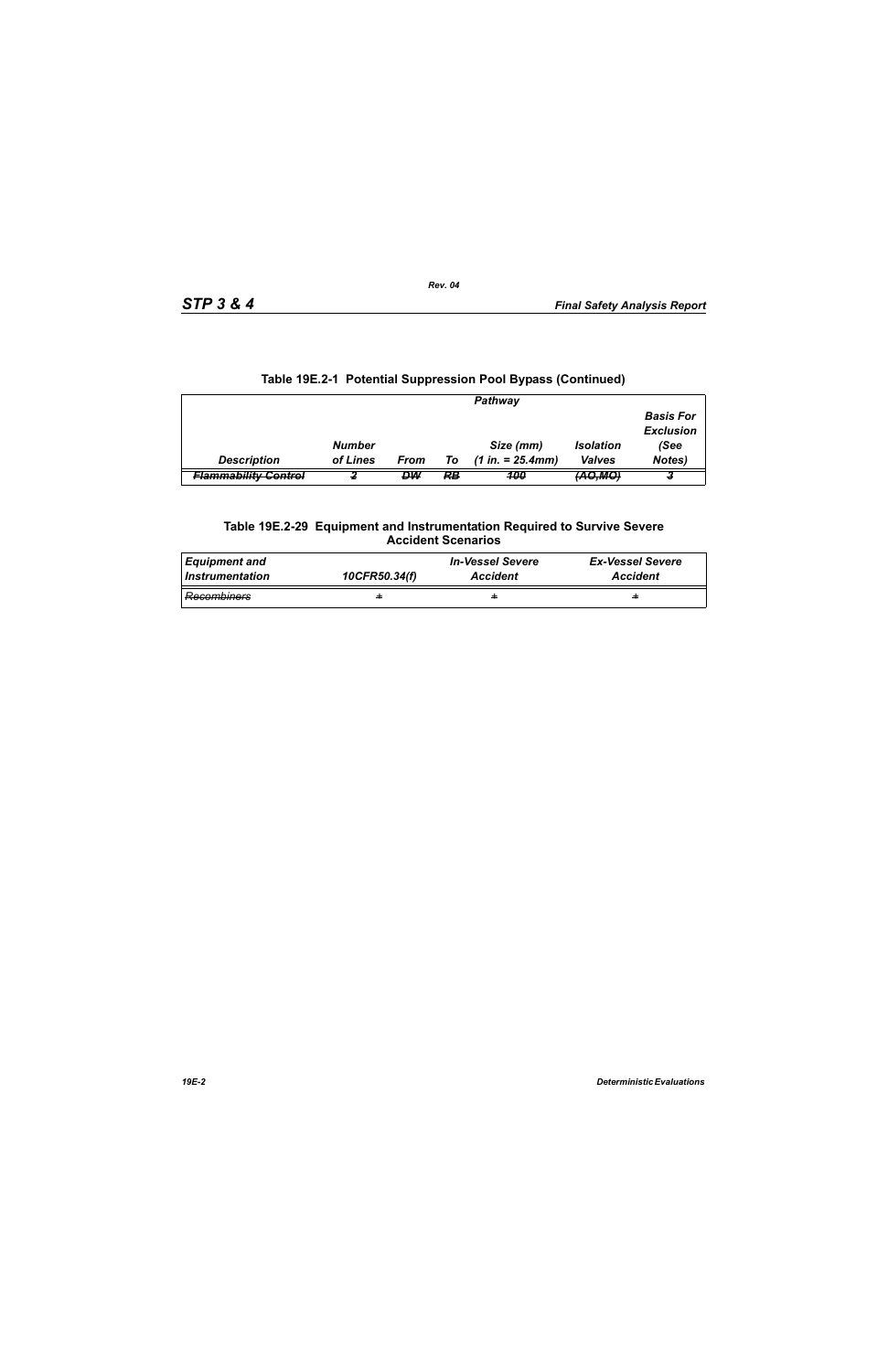|                             |               |      |    | Pathway             |                    |                  |
|-----------------------------|---------------|------|----|---------------------|--------------------|------------------|
|                             |               |      |    |                     |                    | <b>Basis For</b> |
|                             |               |      |    |                     |                    | <b>Exclusion</b> |
|                             | <b>Number</b> |      |    | Size (mm)           | <b>Isolation</b>   | (See             |
| <b>Description</b>          | of Lines      | From | Τo | $(1 in. = 25.4 mm)$ | <b>Valves</b>      | Notes)           |
| <b>Flammability Control</b> |               | DW   | RB | 100                 | <del>(AO,MO,</del> |                  |

# **Table 19E.2-1 Potential Suppression Pool Bypass (Continued)**

#### **Table 19E.2-29 Equipment and Instrumentation Required to Survive Severe Accident Scenarios**

| <b>Equipment and</b> | 10CFR50.34(f) | <b>In-Vessel Severe</b> | <b>Ex-Vessel Severe</b> |
|----------------------|---------------|-------------------------|-------------------------|
| Instrumentation      |               | <b>Accident</b>         | <b>Accident</b>         |
| Recombiners          | ÷             | ÷                       | ÷                       |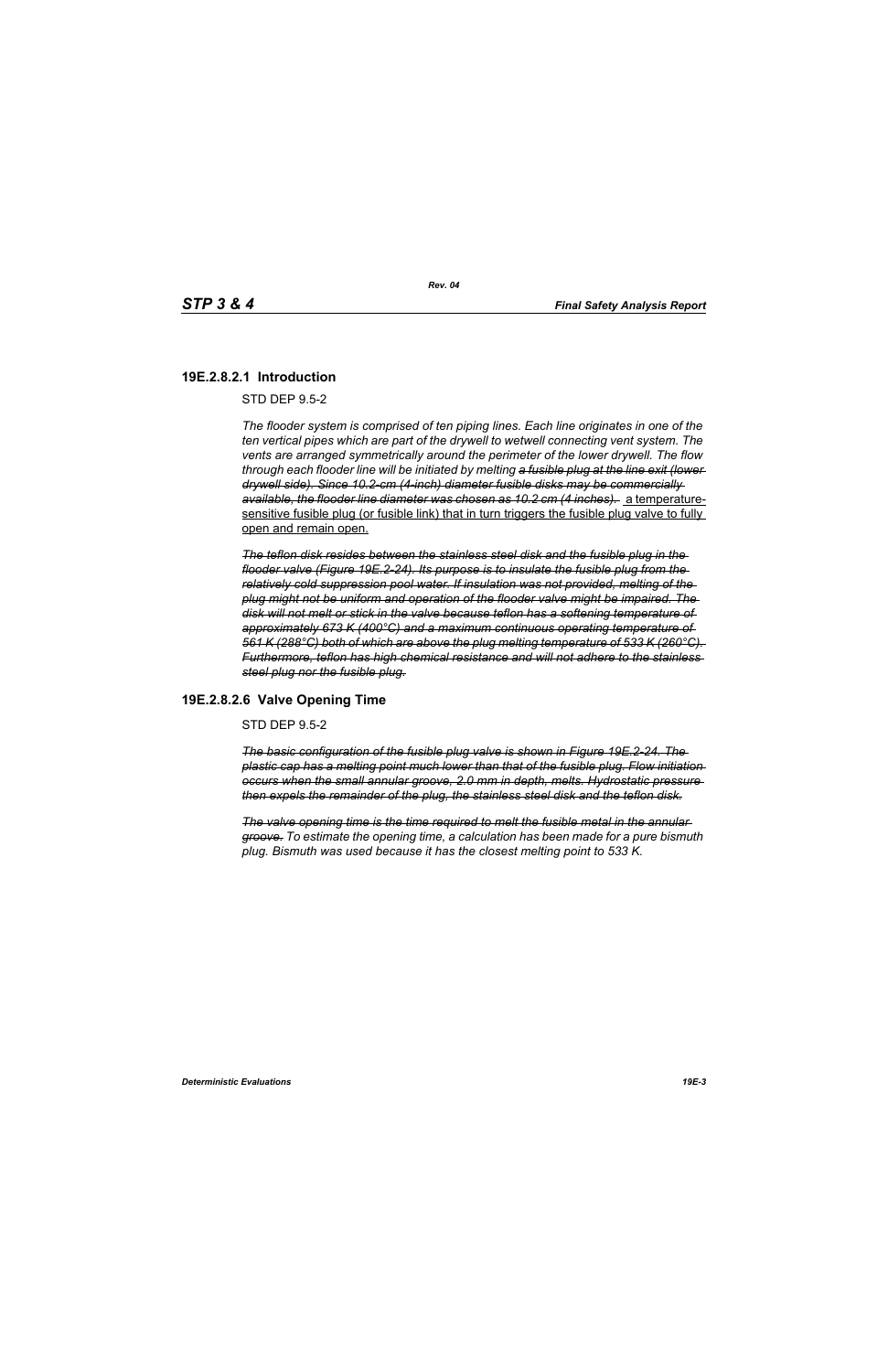# **19E.2.8.2.1 Introduction**

STD DEP 9.5-2

*The flooder system is comprised of ten piping lines. Each line originates in one of the ten vertical pipes which are part of the drywell to wetwell connecting vent system. The vents are arranged symmetrically around the perimeter of the lower drywell. The flow through each flooder line will be initiated by melting a fusible plug at the line exit (lower drywell side). Since 10.2-cm (4-inch) diameter fusible disks may be commercially available, the flooder line diameter was chosen as 10.2 cm (4 inches).* a temperaturesensitive fusible plug (or fusible link) that in turn triggers the fusible plug valve to fully open and remain open.

*The teflon disk resides between the stainless steel disk and the fusible plug in the flooder valve (Figure 19E.2-24). Its purpose is to insulate the fusible plug from the relatively cold suppression pool water. If insulation was not provided, melting of the plug might not be uniform and operation of the flooder valve might be impaired. The disk will not melt or stick in the valve because teflon has a softening temperature of approximately 673 K (400°C) and a maximum continuous operating temperature of 561 K (288°C) both of which are above the plug melting temperature of 533 K (260°C). Furthermore, teflon has high chemical resistance and will not adhere to the stainless steel plug nor the fusible plug.*

### **19E.2.8.2.6 Valve Opening Time**

STD DEP 9.5-2

*The basic configuration of the fusible plug valve is shown in Figure 19E.2-24. The plastic cap has a melting point much lower than that of the fusible plug. Flow initiation occurs when the small annular groove, 2.0 mm in depth, melts. Hydrostatic pressure then expels the remainder of the plug, the stainless steel disk and the teflon disk.*

*The valve opening time is the time required to melt the fusible metal in the annular groove. To estimate the opening time, a calculation has been made for a pure bismuth plug. Bismuth was used because it has the closest melting point to 533 K.*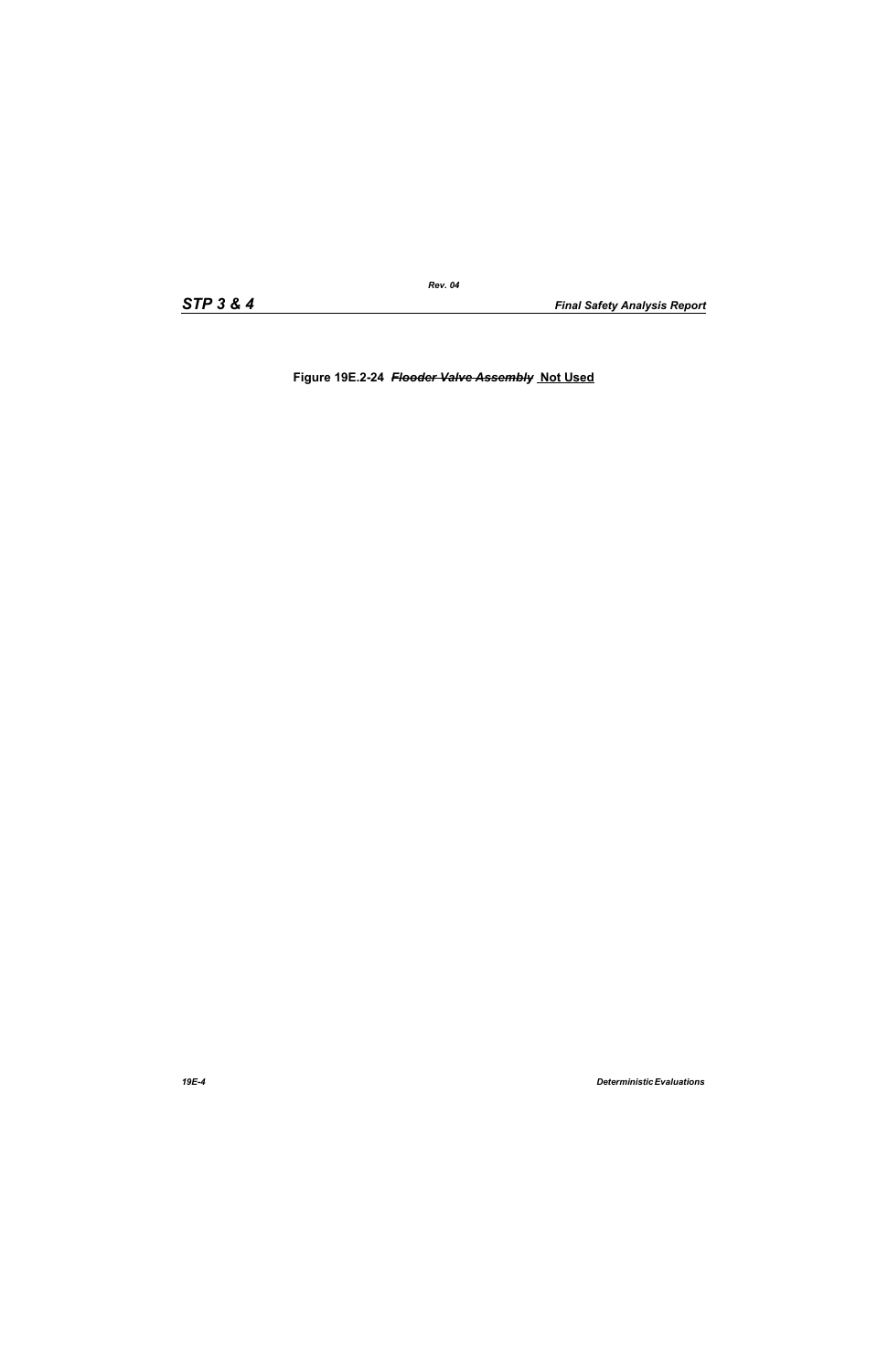**Figure 19E.2-24** *Flooder Valve Assembly* **Not Used**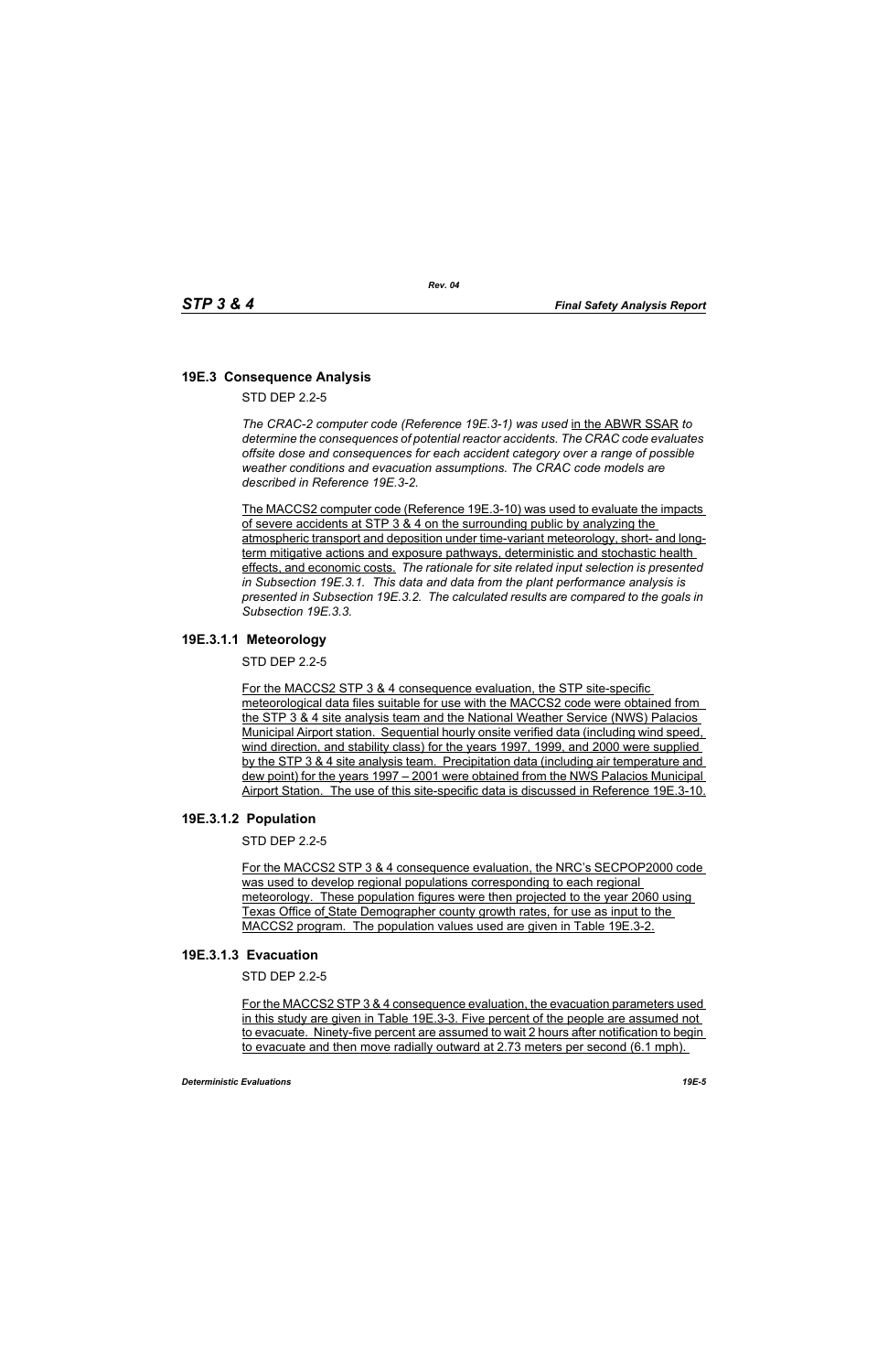# **19E.3 Consequence Analysis**

STD DEP 2.2-5

*The CRAC-2 computer code (Reference 19E.3-1) was used* in the ABWR SSAR *to determine the consequences of potential reactor accidents. The CRAC code evaluates offsite dose and consequences for each accident category over a range of possible weather conditions and evacuation assumptions. The CRAC code models are described in Reference 19E.3-2.* 

The MACCS2 computer code (Reference 19E.3-10) was used to evaluate the impacts of severe accidents at STP 3 & 4 on the surrounding public by analyzing the atmospheric transport and deposition under time-variant meteorology, short- and longterm mitigative actions and exposure pathways, deterministic and stochastic health effects, and economic costs. *The rationale for site related input selection is presented in Subsection 19E.3.1. This data and data from the plant performance analysis is presented in Subsection 19E.3.2. The calculated results are compared to the goals in Subsection 19E.3.3.*

### **19E.3.1.1 Meteorology**

STD DEP 2.2-5

For the MACCS2 STP 3 & 4 consequence evaluation, the STP site-specific meteorological data files suitable for use with the MACCS2 code were obtained from the STP 3 & 4 site analysis team and the National Weather Service (NWS) Palacios Municipal Airport station. Sequential hourly onsite verified data (including wind speed, wind direction, and stability class) for the years 1997, 1999, and 2000 were supplied by the STP 3 & 4 site analysis team. Precipitation data (including air temperature and dew point) for the years 1997 – 2001 were obtained from the NWS Palacios Municipal Airport Station. The use of this site-specific data is discussed in Reference 19E.3-10.

### **19E.3.1.2 Population**

STD DEP 2.2-5

For the MACCS2 STP 3 & 4 consequence evaluation, the NRC's SECPOP2000 code was used to develop regional populations corresponding to each regional meteorology. These population figures were then projected to the year 2060 using Texas Office of State Demographer county growth rates, for use as input to the MACCS2 program. The population values used are given in Table 19E.3-2.

### **19E.3.1.3 Evacuation**

STD DEP 2.2-5

For the MACCS2 STP 3 & 4 consequence evaluation, the evacuation parameters used in this study are given in Table 19E.3-3. Five percent of the people are assumed not to evacuate. Ninety-five percent are assumed to wait 2 hours after notification to begin to evacuate and then move radially outward at 2.73 meters per second (6.1 mph).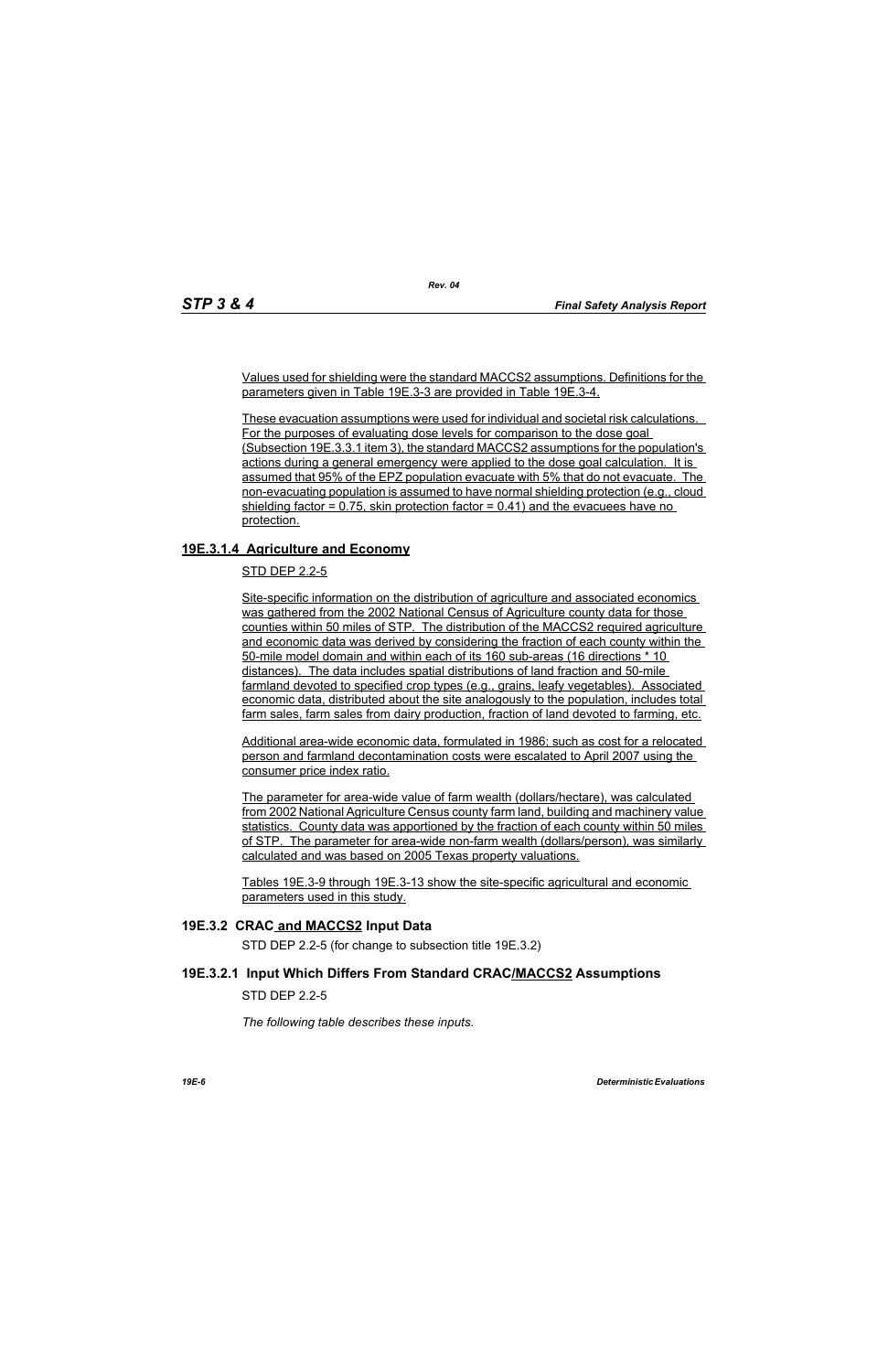Values used for shielding were the standard MACCS2 assumptions. Definitions for the parameters given in Table 19E.3-3 are provided in Table 19E.3-4.

*Rev. 04*

These evacuation assumptions were used for individual and societal risk calculations. For the purposes of evaluating dose levels for comparison to the dose goal (Subsection 19E.3.3.1 item 3), the standard MACCS2 assumptions for the population's actions during a general emergency were applied to the dose goal calculation. It is assumed that 95% of the EPZ population evacuate with 5% that do not evacuate. The non-evacuating population is assumed to have normal shielding protection (e.g., cloud shielding factor  $= 0.75$ , skin protection factor  $= 0.41$ ) and the evacuees have no protection.

# **19E.3.1.4 Agriculture and Economy**

STD DEP 2.2-5

Site-specific information on the distribution of agriculture and associated economics was gathered from the 2002 National Census of Agriculture county data for those counties within 50 miles of STP. The distribution of the MACCS2 required agriculture and economic data was derived by considering the fraction of each county within the 50-mile model domain and within each of its 160 sub-areas (16 directions \* 10 distances). The data includes spatial distributions of land fraction and 50-mile farmland devoted to specified crop types (e.g., grains, leafy vegetables). Associated economic data, distributed about the site analogously to the population, includes total farm sales, farm sales from dairy production, fraction of land devoted to farming, etc.

Additional area-wide economic data, formulated in 1986; such as cost for a relocated person and farmland decontamination costs were escalated to April 2007 using the consumer price index ratio.

The parameter for area-wide value of farm wealth (dollars/hectare), was calculated from 2002 National Agriculture Census county farm land, building and machinery value statistics. County data was apportioned by the fraction of each county within 50 miles of STP. The parameter for area-wide non-farm wealth (dollars/person), was similarly calculated and was based on 2005 Texas property valuations.

Tables 19E.3-9 through 19E.3-13 show the site-specific agricultural and economic parameters used in this study.

### **19E.3.2 CRAC and MACCS2 Input Data**

STD DEP 2.2-5 (for change to subsection title 19E.3.2)

### **19E.3.2.1 Input Which Differs From Standard CRAC/MACCS2 Assumptions**

STD DEP 2.2-5

*The following table describes these inputs.*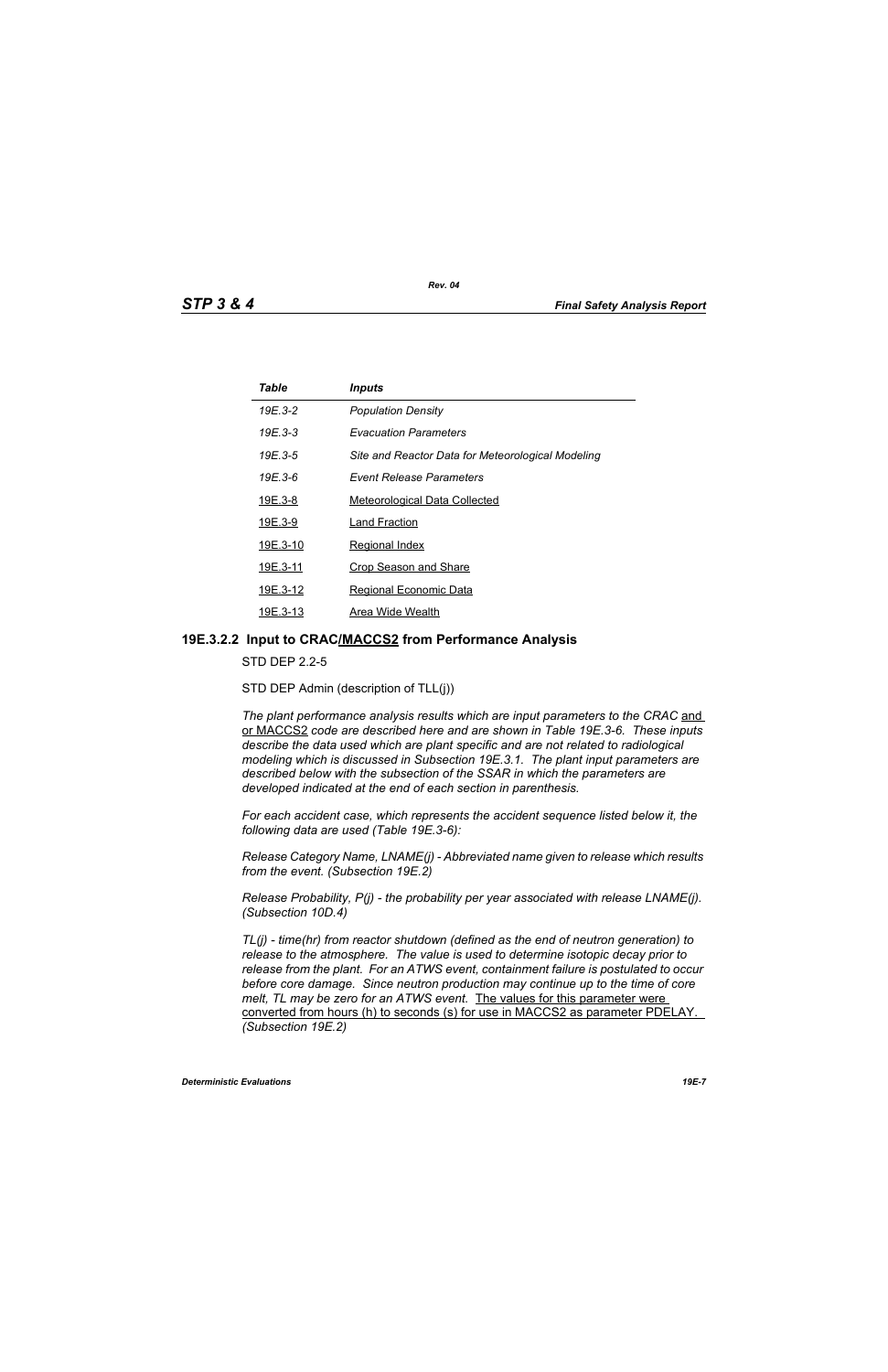| Table          | <b>Inputs</b>                                     |
|----------------|---------------------------------------------------|
| 19E.3-2        | <b>Population Density</b>                         |
| 19E.3-3        | <i><b>Evacuation Parameters</b></i>               |
| 19E.3-5        | Site and Reactor Data for Meteorological Modeling |
| 19E.3-6        | Event Release Parameters                          |
| <u>19E.3-8</u> | <b>Meteorological Data Collected</b>              |
| 19E.3-9        | <b>Land Fraction</b>                              |
| 19E.3-10       | <b>Regional Index</b>                             |
| 19E.3-11       | <b>Crop Season and Share</b>                      |
| 19E.3-12       | Regional Economic Data                            |
| 19E.3-13       | Area Wide Wealth                                  |

#### **19E.3.2.2 Input to CRAC/MACCS2 from Performance Analysis**

STD DEP 2.2-5

STD DEP Admin (description of TLL(j))

The plant performance analysis results which are input parameters to the CRAC and or MACCS2 *code are described here and are shown in Table 19E.3-6. These inputs describe the data used which are plant specific and are not related to radiological modeling which is discussed in Subsection 19E.3.1. The plant input parameters are described below with the subsection of the SSAR in which the parameters are developed indicated at the end of each section in parenthesis.*

*For each accident case, which represents the accident sequence listed below it, the following data are used (Table 19E.3-6):*

*Release Category Name, LNAME(j) - Abbreviated name given to release which results from the event. (Subsection 19E.2)*

*Release Probability, P(j) - the probability per year associated with release LNAME(j). (Subsection 10D.4)*

*TL(j) - time(hr) from reactor shutdown (defined as the end of neutron generation) to release to the atmosphere. The value is used to determine isotopic decay prior to release from the plant. For an ATWS event, containment failure is postulated to occur before core damage. Since neutron production may continue up to the time of core melt, TL may be zero for an ATWS event.* The values for this parameter were converted from hours (h) to seconds (s) for use in MACCS2 as parameter PDELAY. *(Subsection 19E.2)*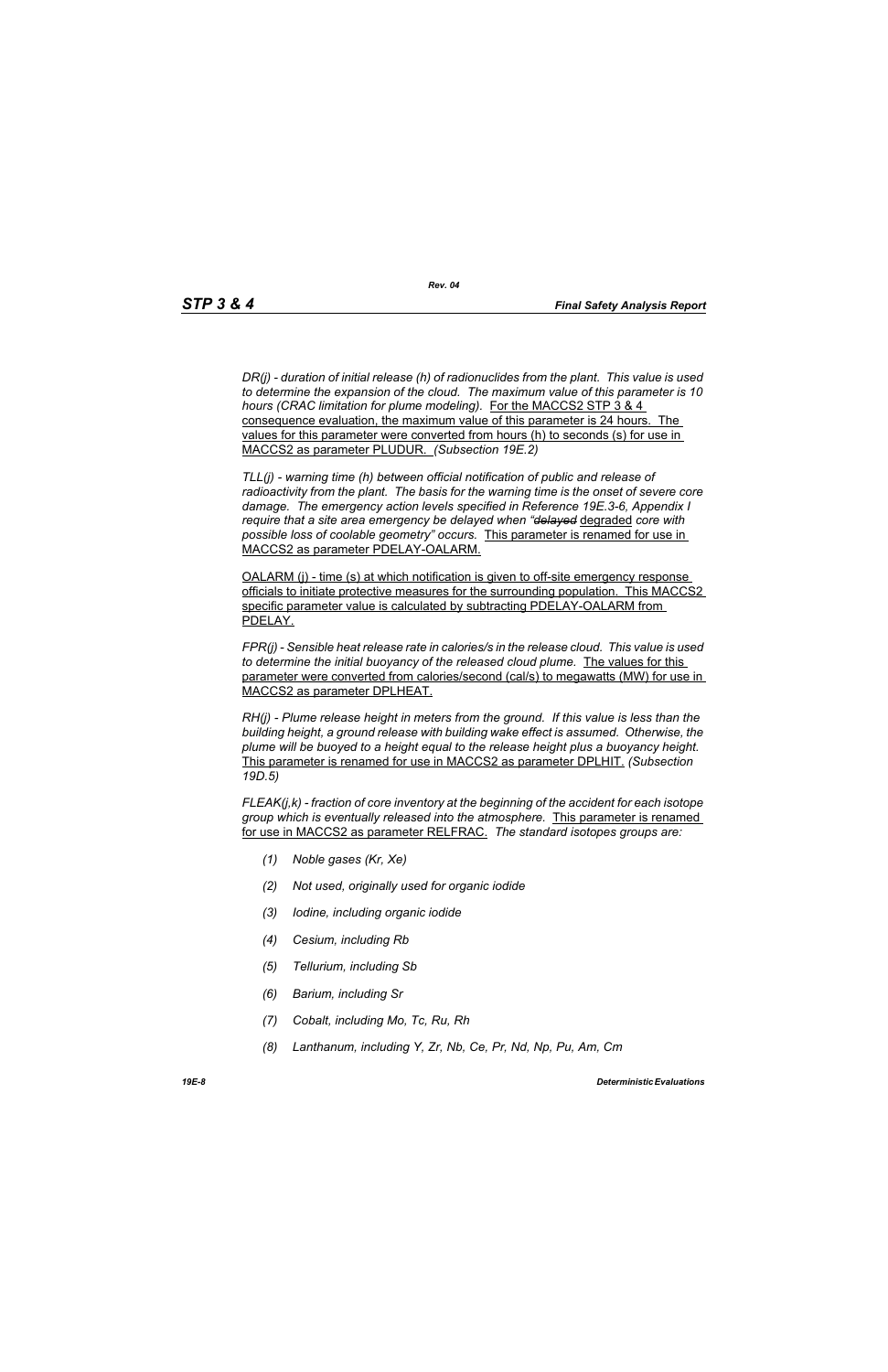*DR(j) - duration of initial release (h) of radionuclides from the plant. This value is used to determine the expansion of the cloud. The maximum value of this parameter is 10 hours (CRAC limitation for plume modeling).* For the MACCS2 STP 3 & 4 consequence evaluation, the maximum value of this parameter is 24 hours. The values for this parameter were converted from hours (h) to seconds (s) for use in MACCS2 as parameter PLUDUR. *(Subsection 19E.2)*

*TLL(j) - warning time (h) between official notification of public and release of radioactivity from the plant. The basis for the warning time is the onset of severe core damage. The emergency action levels specified in Reference 19E.3-6, Appendix I require that a site area emergency be delayed when "delayed* degraded *core with possible loss of coolable geometry" occurs.* This parameter is renamed for use in MACCS2 as parameter PDELAY-OALARM.

OALARM (j) - time (s) at which notification is given to off-site emergency response officials to initiate protective measures for the surrounding population. This MACCS2 specific parameter value is calculated by subtracting PDELAY-OALARM from PDELAY.

*FPR(j) - Sensible heat release rate in calories/s in the release cloud. This value is used to determine the initial buoyancy of the released cloud plume.* The values for this parameter were converted from calories/second (cal/s) to megawatts (MW) for use in MACCS2 as parameter DPLHEAT.

*RH(j) - Plume release height in meters from the ground. If this value is less than the building height, a ground release with building wake effect is assumed. Otherwise, the plume will be buoyed to a height equal to the release height plus a buoyancy height.*  This parameter is renamed for use in MACCS2 as parameter DPLHIT. *(Subsection 19D.5)*

*FLEAK(j,k) - fraction of core inventory at the beginning of the accident for each isotope group which is eventually released into the atmosphere.* This parameter is renamed for use in MACCS2 as parameter RELFRAC. *The standard isotopes groups are:*

- *(1) Noble gases (Kr, Xe)*
- *(2) Not used, originally used for organic iodide*
- *(3) Iodine, including organic iodide*
- *(4) Cesium, including Rb*
- *(5) Tellurium, including Sb*
- *(6) Barium, including Sr*
- *(7) Cobalt, including Mo, Tc, Ru, Rh*
- *(8) Lanthanum, including Y, Zr, Nb, Ce, Pr, Nd, Np, Pu, Am, Cm*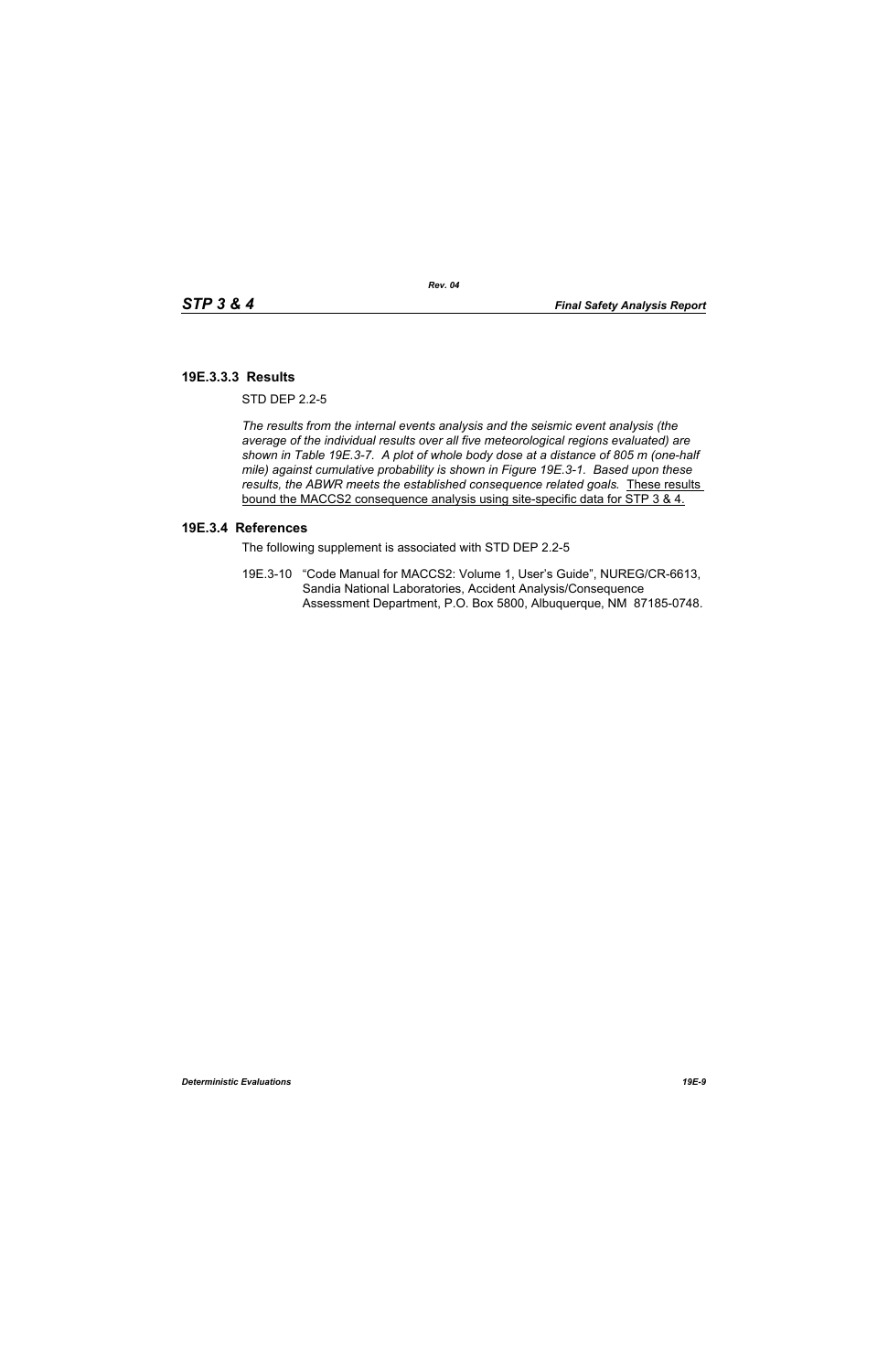### **19E.3.3.3 Results**

 $STD$  DFP  $2.2-5$ 

*The results from the internal events analysis and the seismic event analysis (the average of the individual results over all five meteorological regions evaluated) are shown in Table 19E.3-7. A plot of whole body dose at a distance of 805 m (one-half mile) against cumulative probability is shown in Figure 19E.3-1. Based upon these results, the ABWR meets the established consequence related goals.* These results bound the MACCS2 consequence analysis using site-specific data for STP 3 & 4.

#### **19E.3.4 References**

The following supplement is associated with STD DEP 2.2-5

19E.3-10 "Code Manual for MACCS2: Volume 1, User's Guide", NUREG/CR-6613, Sandia National Laboratories, Accident Analysis/Consequence Assessment Department, P.O. Box 5800, Albuquerque, NM 87185-0748.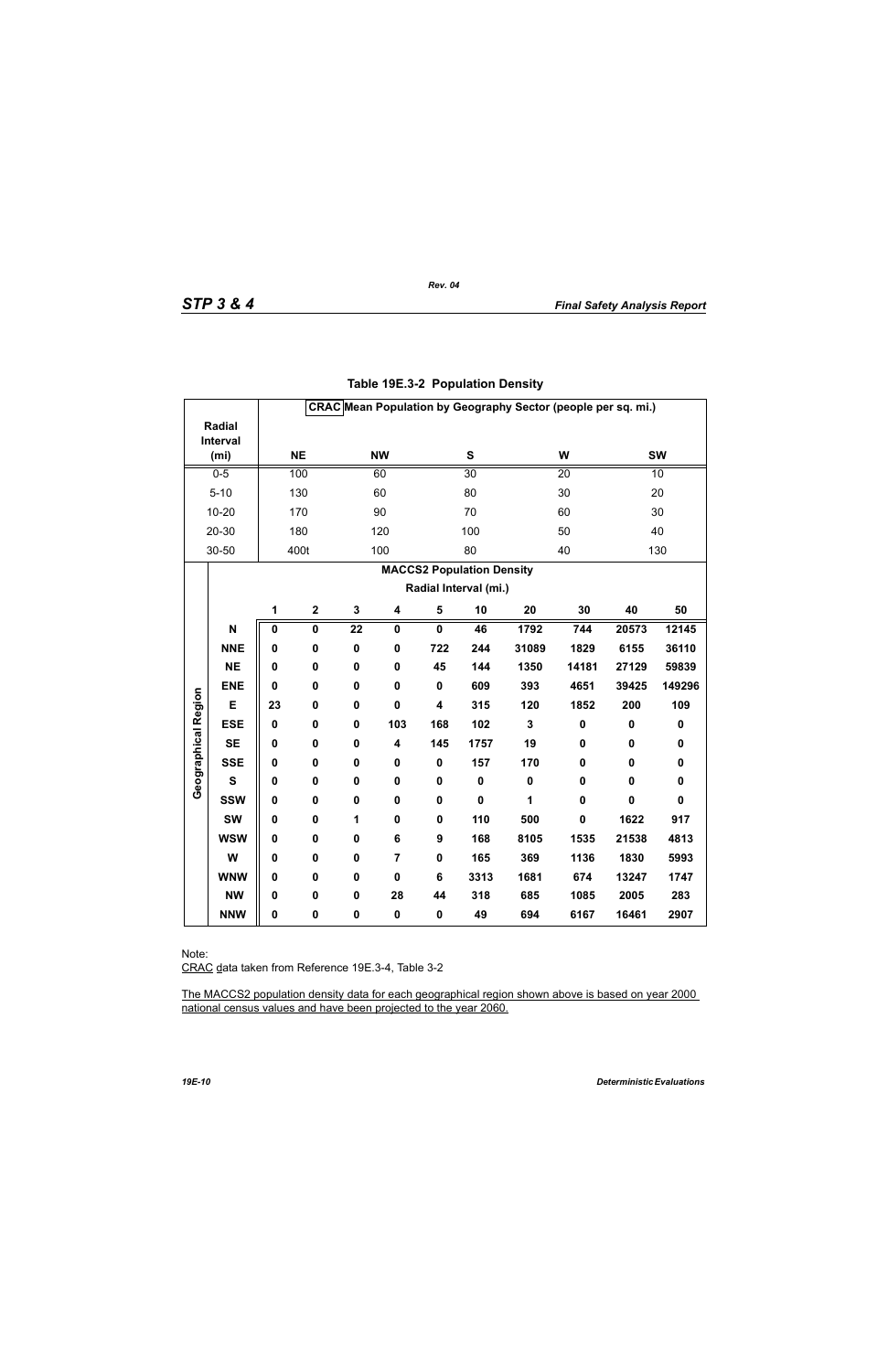|                     |                                                           |             |                         |                 |                         |                         |                 |                         | CRAC Mean Population by Geography Sector (people per sq. mi.) |             |             |
|---------------------|-----------------------------------------------------------|-------------|-------------------------|-----------------|-------------------------|-------------------------|-----------------|-------------------------|---------------------------------------------------------------|-------------|-------------|
|                     | <b>Radial</b>                                             |             |                         |                 |                         |                         |                 |                         |                                                               |             |             |
|                     | Interval<br>(m <sub>i</sub> )                             |             | <b>NE</b>               |                 | <b>NW</b>               |                         | S               |                         | W                                                             |             | <b>SW</b>   |
|                     | $0-5$                                                     |             | 100                     |                 | 60                      |                         | $\overline{30}$ |                         | 20                                                            |             | 10          |
|                     | $5 - 10$                                                  |             | 130                     |                 | 60                      |                         | 80              |                         | 30                                                            |             | 20          |
|                     | $10 - 20$                                                 |             | 170                     |                 | 90                      |                         | 70              |                         | 60                                                            |             | 30          |
|                     | 20-30                                                     |             | 180                     |                 | 120                     |                         | 100             |                         | 50                                                            |             | 40          |
|                     | 30-50                                                     |             | 400t                    |                 | 100                     |                         | 80              |                         | 40                                                            |             | 130         |
|                     |                                                           |             |                         |                 |                         |                         |                 |                         |                                                               |             |             |
|                     | <b>MACCS2 Population Density</b><br>Radial Interval (mi.) |             |                         |                 |                         |                         |                 |                         |                                                               |             |             |
|                     |                                                           | 1           | $\mathbf 2$             | $\mathbf 3$     | $\overline{\mathbf{4}}$ | $\overline{\mathbf{5}}$ | 10              | 20                      | 30                                                            | 40          | 50          |
|                     | N                                                         | 0           | $\overline{\mathbf{0}}$ | $\overline{22}$ | $\mathbf 0$             | $\overline{\mathbf{0}}$ | 46              | 1792                    | 744                                                           | 20573       | 12145       |
|                     | <b>NNE</b>                                                | 0           | $\pmb{0}$               | $\pmb{0}$       | $\mathbf 0$             | 722                     | 244             | 31089                   | 1829                                                          | 6155        | 36110       |
|                     | <b>NE</b>                                                 | 0           | 0                       | $\mathbf 0$     | $\mathbf 0$             | 45                      | 144             | 1350                    | 14181                                                         | 27129       | 59839       |
|                     | <b>ENE</b>                                                | $\mathbf 0$ | $\mathbf 0$             | $\mathbf 0$     | $\mathbf 0$             | $\mathbf 0$             | 609             | 393                     | 4651                                                          | 39425       | 149296      |
|                     |                                                           |             |                         |                 |                         |                         |                 |                         |                                                               |             |             |
|                     | E                                                         | 23          | 0                       | $\mathbf 0$     | $\mathbf 0$             | 4                       | 315             | 120                     | 1852                                                          | 200         | 109         |
|                     | <b>ESE</b>                                                | $\mathbf 0$ | 0                       | $\mathbf 0$     | 103                     | 168                     | 102             | $\overline{\mathbf{3}}$ | $\pmb{0}$                                                     | $\pmb{0}$   | $\pmb{0}$   |
| Geographical Region | <b>SE</b>                                                 | 0           | 0                       | $\pmb{0}$       | 4                       | 145                     | 1757            | 19                      | 0                                                             | $\pmb{0}$   | $\pmb{0}$   |
|                     | <b>SSE</b>                                                | 0           | $\mathbf 0$             | $\mathbf 0$     | $\mathbf 0$             | $\mathbf 0$             | 157             | 170                     | $\mathbf 0$                                                   | $\mathbf 0$ | $\mathbf 0$ |
|                     | $\mathbf{s}$                                              | 0           | 0                       | $\mathbf 0$     | 0                       | 0                       | $\pmb{0}$       | $\pmb{0}$               | $\mathbf 0$                                                   | 0           | $\pmb{0}$   |
|                     | <b>SSW</b>                                                | 0           | 0                       | $\pmb{0}$       | 0                       | $\mathbf 0$             | $\mathbf 0$     | 1                       | $\mathbf 0$                                                   | $\mathbf 0$ | $\mathbf 0$ |
|                     | <b>SW</b>                                                 | 0           | $\mathbf 0$             | 1               | $\mathbf 0$             | $\mathbf 0$             | 110             | 500                     | $\mathbf 0$                                                   | 1622        | 917         |
|                     | <b>WSW</b>                                                | 0           | 0                       | $\mathbf 0$     | $\bf 6$                 | 9                       | 168             | 8105                    | 1535                                                          | 21538       | 4813        |
|                     | W                                                         | 0           | 0                       | $\pmb{0}$       | 7                       | $\mathbf 0$             | 165             | 369                     | 1136                                                          | 1830        | 5993        |
|                     | <b>WNW</b>                                                | $\mathbf 0$ | 0                       | $\pmb{0}$       | $\mathbf 0$             | 6                       | 3313            | 1681                    | 674                                                           | 13247       | 1747        |
|                     | <b>NW</b>                                                 | 0           | 0                       | $\mathbf 0$     | 28                      | 44                      | 318             | 685                     | 1085                                                          | 2005        | 283         |
|                     | <b>NNW</b>                                                | 0           | $\pmb{0}$               | $\pmb{0}$       | $\pmb{0}$               | 0                       | 49              | 694                     | 6167                                                          | 16461       | 2907        |

# **Table 19E.3-2 Population Density**

*Rev. 04*

Note:

CRAC data taken from Reference 19E.3-4, Table 3-2

The MACCS2 population density data for each geographical region shown above is based on year 2000 national census values and have been projected to the year 2060.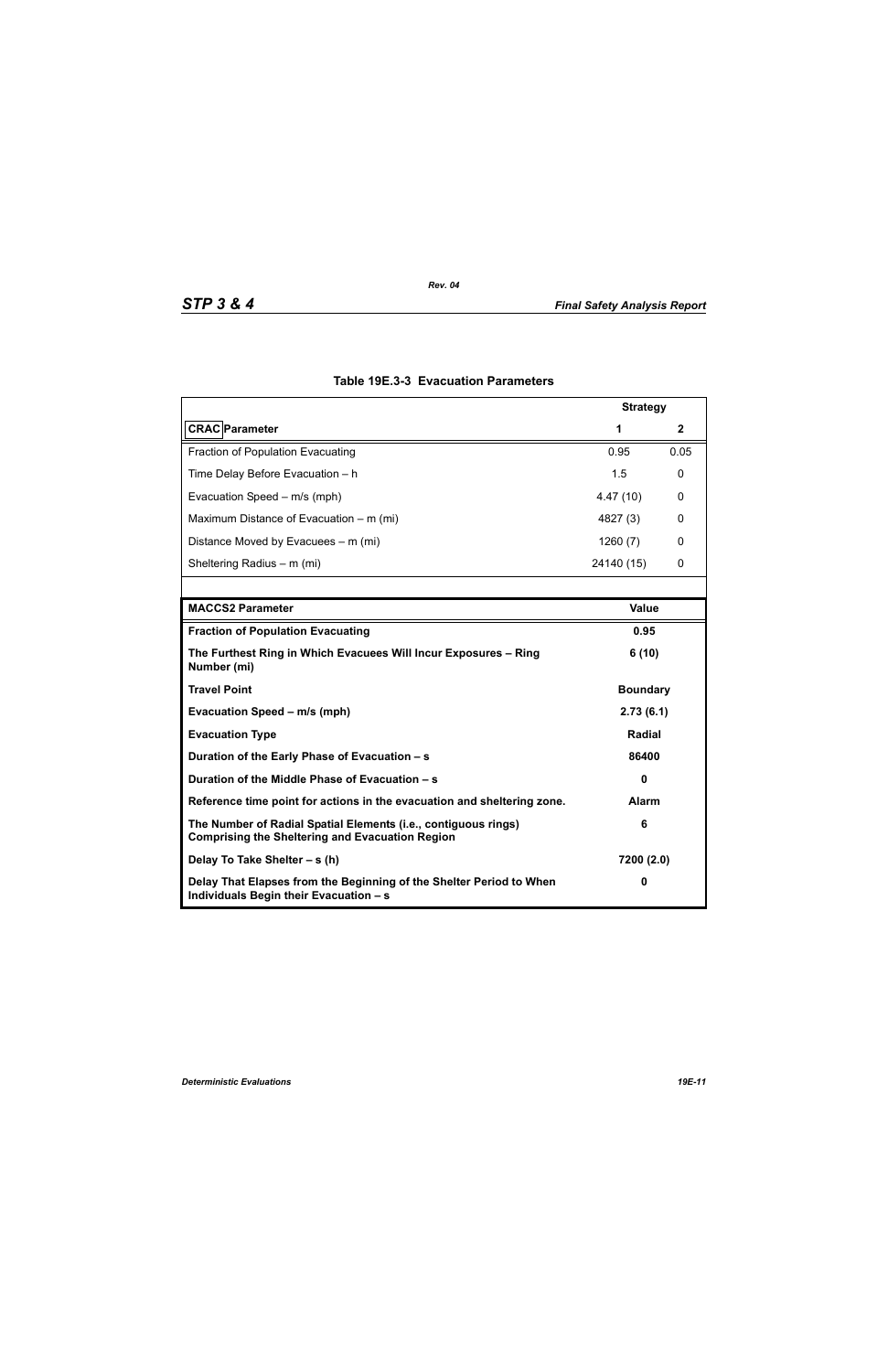|                                                                                                                          | <b>Strategy</b> |      |  |
|--------------------------------------------------------------------------------------------------------------------------|-----------------|------|--|
| <b>CRAC</b> Parameter                                                                                                    | 1               | 2    |  |
| <b>Fraction of Population Evacuating</b>                                                                                 | 0.95            | 0.05 |  |
| Time Delay Before Evacuation - h                                                                                         | 1.5             | 0    |  |
| Evacuation Speed - m/s (mph)                                                                                             | 4.47(10)        | 0    |  |
| Maximum Distance of Evacuation – m (mi)                                                                                  | 4827 (3)        | 0    |  |
| Distance Moved by Evacuees – m (mi)                                                                                      | 1260(7)         | 0    |  |
| Sheltering Radius - m (mi)                                                                                               | 24140 (15)      | 0    |  |
|                                                                                                                          |                 |      |  |
| <b>MACCS2 Parameter</b>                                                                                                  | <b>Value</b>    |      |  |
| <b>Fraction of Population Evacuating</b>                                                                                 | 0.95            |      |  |
| The Furthest Ring in Which Evacuees Will Incur Exposures - Ring<br>Number (mi)                                           | 6(10)           |      |  |
| <b>Travel Point</b>                                                                                                      | <b>Boundary</b> |      |  |
| Evacuation Speed - m/s (mph)                                                                                             | 2.73(6.1)       |      |  |
| <b>Evacuation Type</b>                                                                                                   | <b>Radial</b>   |      |  |
| Duration of the Early Phase of Evacuation - s                                                                            | 86400           |      |  |
| Duration of the Middle Phase of Evacuation - s                                                                           | $\mathbf{0}$    |      |  |
| Reference time point for actions in the evacuation and sheltering zone.                                                  | <b>Alarm</b>    |      |  |
| The Number of Radial Spatial Elements (i.e., contiguous rings)<br><b>Comprising the Sheltering and Evacuation Region</b> | 6               |      |  |
| Delay To Take Shelter - s (h)                                                                                            | 7200 (2.0)      |      |  |
| Delay That Elapses from the Beginning of the Shelter Period to When<br>Individuals Begin their Evacuation - s            | 0               |      |  |

# **Table 19E.3-3 Evacuation Parameters**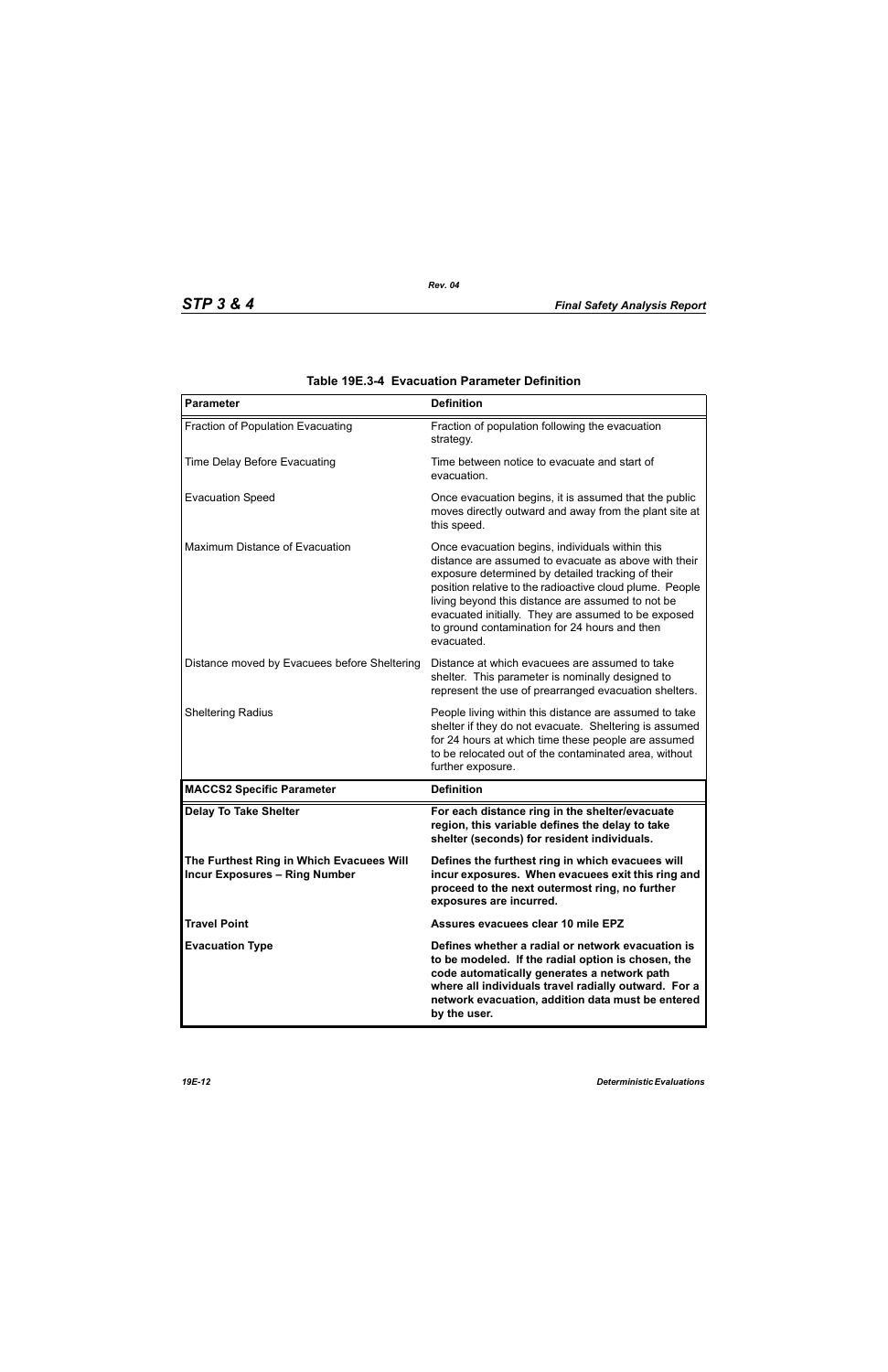| <b>Parameter</b>                                                                 | <b>Definition</b>                                                                                                                                                                                                                                                                                                                                                                                   |
|----------------------------------------------------------------------------------|-----------------------------------------------------------------------------------------------------------------------------------------------------------------------------------------------------------------------------------------------------------------------------------------------------------------------------------------------------------------------------------------------------|
| Fraction of Population Evacuating                                                | Fraction of population following the evacuation<br>strategy.                                                                                                                                                                                                                                                                                                                                        |
| Time Delay Before Evacuating                                                     | Time between notice to evacuate and start of<br>evacuation.                                                                                                                                                                                                                                                                                                                                         |
| <b>Evacuation Speed</b>                                                          | Once evacuation begins, it is assumed that the public<br>moves directly outward and away from the plant site at<br>this speed.                                                                                                                                                                                                                                                                      |
| Maximum Distance of Evacuation                                                   | Once evacuation begins, individuals within this<br>distance are assumed to evacuate as above with their<br>exposure determined by detailed tracking of their<br>position relative to the radioactive cloud plume. People<br>living beyond this distance are assumed to not be<br>evacuated initially. They are assumed to be exposed<br>to ground contamination for 24 hours and then<br>evacuated. |
| Distance moved by Evacuees before Sheltering                                     | Distance at which evacuees are assumed to take<br>shelter. This parameter is nominally designed to<br>represent the use of prearranged evacuation shelters.                                                                                                                                                                                                                                         |
| <b>Sheltering Radius</b>                                                         | People living within this distance are assumed to take<br>shelter if they do not evacuate. Sheltering is assumed<br>for 24 hours at which time these people are assumed<br>to be relocated out of the contaminated area, without<br>further exposure.                                                                                                                                               |
| <b>MACCS2 Specific Parameter</b>                                                 | <b>Definition</b>                                                                                                                                                                                                                                                                                                                                                                                   |
| <b>Delay To Take Shelter</b>                                                     | For each distance ring in the shelter/evacuate<br>region, this variable defines the delay to take<br>shelter (seconds) for resident individuals.                                                                                                                                                                                                                                                    |
| The Furthest Ring in Which Evacuees Will<br><b>Incur Exposures - Ring Number</b> | Defines the furthest ring in which evacuees will<br>incur exposures. When evacuees exit this ring and<br>proceed to the next outermost ring, no further<br>exposures are incurred.                                                                                                                                                                                                                  |
| <b>Travel Point</b>                                                              | Assures evacuees clear 10 mile EPZ                                                                                                                                                                                                                                                                                                                                                                  |
| <b>Evacuation Type</b>                                                           | Defines whether a radial or network evacuation is<br>to be modeled. If the radial option is chosen, the<br>code automatically generates a network path<br>where all individuals travel radially outward. For a<br>network evacuation, addition data must be entered<br>by the user.                                                                                                                 |

| Table 19E.3-4 Evacuation Parameter Definition |  |  |  |
|-----------------------------------------------|--|--|--|
|-----------------------------------------------|--|--|--|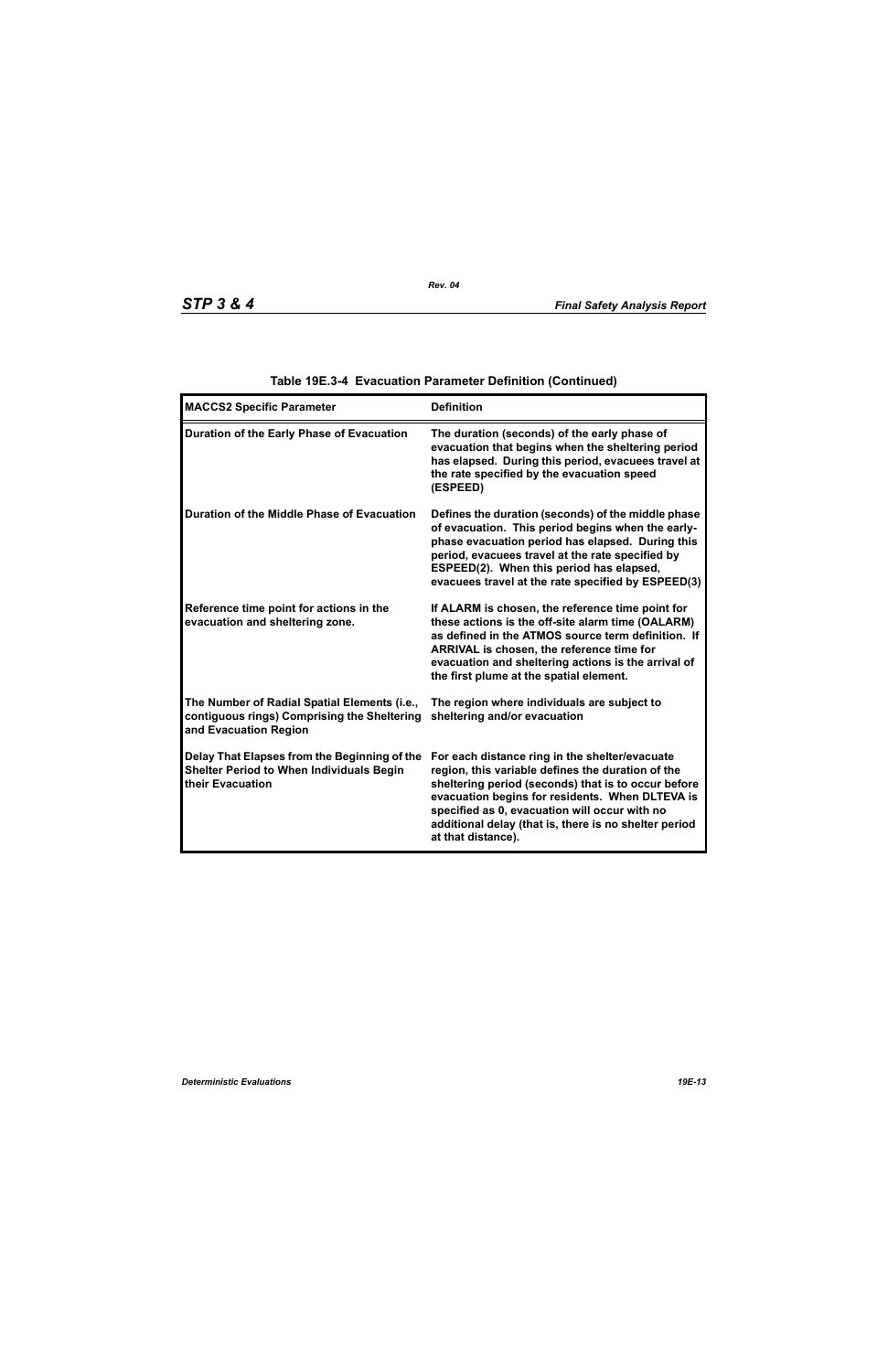| <b>MACCS2 Specific Parameter</b>                                                                                     | <b>Definition</b>                                                                                                                                                                                                                                                                                                                             |
|----------------------------------------------------------------------------------------------------------------------|-----------------------------------------------------------------------------------------------------------------------------------------------------------------------------------------------------------------------------------------------------------------------------------------------------------------------------------------------|
| Duration of the Early Phase of Evacuation                                                                            | The duration (seconds) of the early phase of<br>evacuation that begins when the sheltering period<br>has elapsed. During this period, evacuees travel at<br>the rate specified by the evacuation speed<br>(ESPEED)                                                                                                                            |
| Duration of the Middle Phase of Evacuation                                                                           | Defines the duration (seconds) of the middle phase<br>of evacuation. This period begins when the early-<br>phase evacuation period has elapsed. During this<br>period, evacuees travel at the rate specified by<br>ESPEED(2). When this period has elapsed,<br>evacuees travel at the rate specified by ESPEED(3)                             |
| Reference time point for actions in the<br>evacuation and sheltering zone.                                           | If ALARM is chosen, the reference time point for<br>these actions is the off-site alarm time (OALARM)<br>as defined in the ATMOS source term definition. If<br>ARRIVAL is chosen, the reference time for<br>evacuation and sheltering actions is the arrival of<br>the first plume at the spatial element.                                    |
| The Number of Radial Spatial Elements (i.e.,<br>contiguous rings) Comprising the Sheltering<br>and Evacuation Region | The region where individuals are subject to<br>sheltering and/or evacuation                                                                                                                                                                                                                                                                   |
| Delay That Elapses from the Beginning of the<br><b>Shelter Period to When Individuals Begin</b><br>their Evacuation  | For each distance ring in the shelter/evacuate<br>region, this variable defines the duration of the<br>sheltering period (seconds) that is to occur before<br>evacuation begins for residents. When DLTEVA is<br>specified as 0, evacuation will occur with no<br>additional delay (that is, there is no shelter period<br>at that distance). |

# **Table 19E.3-4 Evacuation Parameter Definition (Continued)**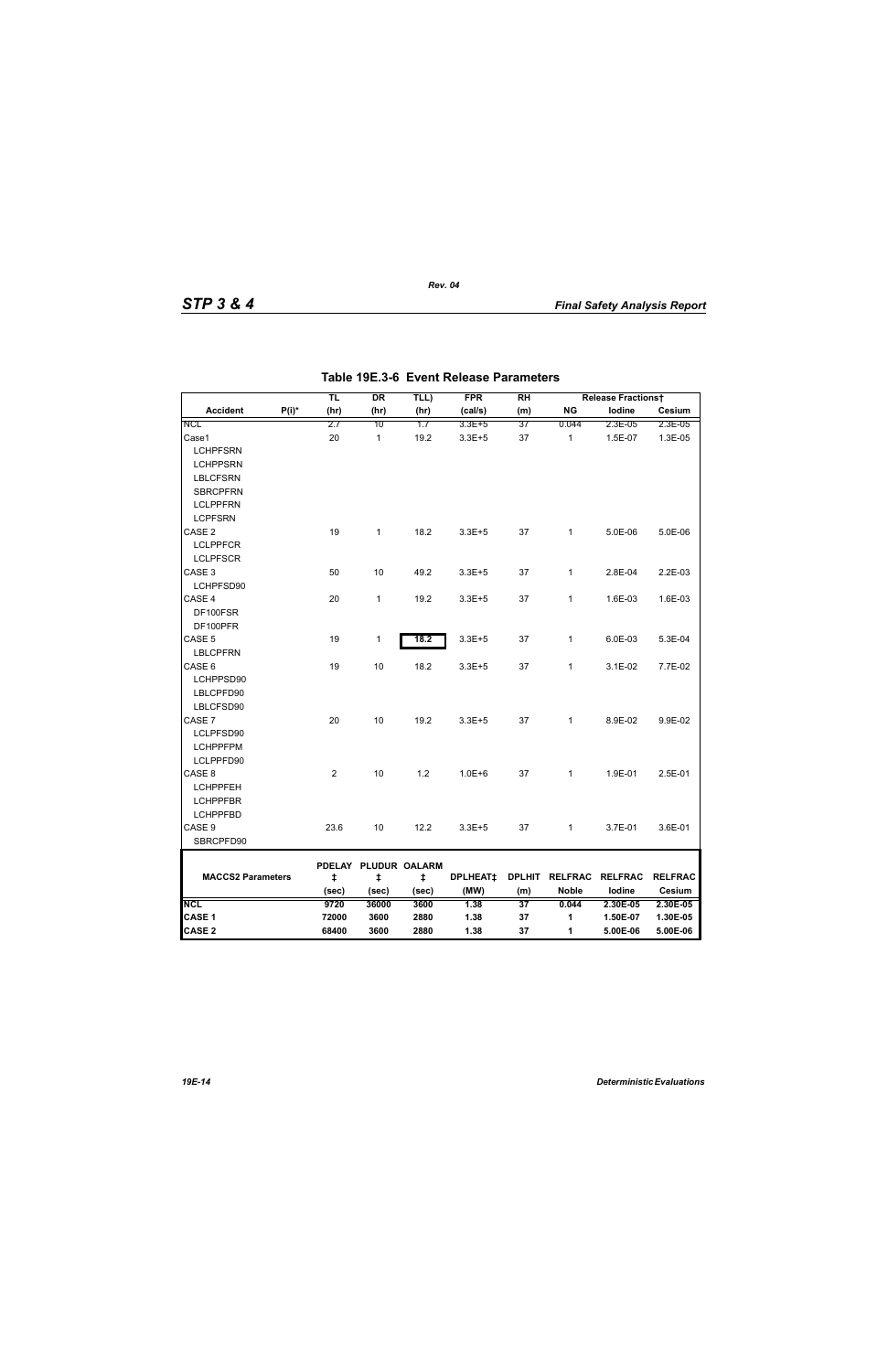|                          |          | TL         | DR                        | TLL)  | <b>FPR</b>      | RH  |                        | <b>Release Fractionst</b> |                |
|--------------------------|----------|------------|---------------------------|-------|-----------------|-----|------------------------|---------------------------|----------------|
| <b>Accident</b>          | $P(i)^*$ | (hr)       | (hr)                      | (hr)  | (cal/s)         | (m) | <b>NG</b>              | lodine                    | Cesium         |
| <b>NCL</b>               |          | 2.7        | 10                        | 1.7   | 3.3E+5          | 37  | 0.044                  | 2.3E-05                   | 2.3E-05        |
| Case1                    |          | 20         | $\mathbf{1}$              | 19.2  | $3.3E + 5$      | 37  | $\mathbf{1}$           | 1.5E-07                   | 1.3E-05        |
| <b>LCHPFSRN</b>          |          |            |                           |       |                 |     |                        |                           |                |
| <b>LCHPPSRN</b>          |          |            |                           |       |                 |     |                        |                           |                |
| <b>LBLCFSRN</b>          |          |            |                           |       |                 |     |                        |                           |                |
| <b>SBRCPFRN</b>          |          |            |                           |       |                 |     |                        |                           |                |
| <b>LCLPPFRN</b>          |          |            |                           |       |                 |     |                        |                           |                |
| <b>LCPFSRN</b>           |          |            |                           |       |                 |     |                        |                           |                |
| CASE <sub>2</sub>        |          | 19         | $\mathbf{1}$              | 18.2  | $3.3E + 5$      | 37  | $\mathbf{1}$           | 5.0E-06                   | 5.0E-06        |
| <b>LCLPPFCR</b>          |          |            |                           |       |                 |     |                        |                           |                |
| <b>LCLPFSCR</b>          |          |            |                           |       |                 |     |                        |                           |                |
| CASE 3                   |          | 50         | 10                        | 49.2  | $3.3E + 5$      | 37  | $\mathbf{1}$           | 2.8E-04                   | 2.2E-03        |
| LCHPFSD90                |          |            |                           |       |                 |     |                        |                           |                |
| CASE 4                   |          | 20         | $\mathbf{1}$              | 19.2  | $3.3E + 5$      | 37  | $\mathbf{1}$           | 1.6E-03                   | 1.6E-03        |
| DF100FSR                 |          |            |                           |       |                 |     |                        |                           |                |
| DF100PFR                 |          |            |                           |       |                 |     |                        |                           |                |
| CASE 5                   |          | 19         | 1                         | 18.2  | $3.3E + 5$      | 37  | 1                      | 6.0E-03                   | 5.3E-04        |
| <b>LBLCPFRN</b>          |          |            |                           |       |                 |     |                        |                           |                |
| CASE 6                   |          | 19         | 10                        | 18.2  | $3.3E + 5$      | 37  | $\mathbf{1}$           | 3.1E-02                   | 7.7E-02        |
| LCHPPSD90                |          |            |                           |       |                 |     |                        |                           |                |
| LBLCPFD90                |          |            |                           |       |                 |     |                        |                           |                |
| LBLCFSD90                |          |            |                           |       |                 |     |                        |                           |                |
| CASE 7                   |          | 20         | 10                        | 19.2  | $3.3E + 5$      | 37  | $\mathbf{1}$           | 8.9E-02                   | 9.9E-02        |
| LCLPFSD90                |          |            |                           |       |                 |     |                        |                           |                |
| <b>LCHPPFPM</b>          |          |            |                           |       |                 |     |                        |                           |                |
| LCLPPFD90                |          |            |                           |       |                 |     |                        |                           |                |
| CASE <sub>8</sub>        |          | 2          | 10                        | 1.2   | $1.0E + 6$      | 37  | $\mathbf{1}$           | 1.9E-01                   | 2.5E-01        |
| <b>LCHPPFEH</b>          |          |            |                           |       |                 |     |                        |                           |                |
| <b>LCHPPFBR</b>          |          |            |                           |       |                 |     |                        |                           |                |
| <b>LCHPPFBD</b>          |          |            |                           |       |                 |     |                        |                           |                |
| CASE 9                   |          | 23.6       | 10                        | 12.2  | $3.3E + 5$      | 37  | $\mathbf{1}$           | 3.7E-01                   | 3.6E-01        |
| SBRCPFD90                |          |            |                           |       |                 |     |                        |                           |                |
|                          |          |            |                           |       |                 |     |                        |                           |                |
| <b>MACCS2 Parameters</b> |          | $\ddagger$ | PDELAY PLUDUR OALARM<br>ŧ | ŧ     | <b>DPLHEAT‡</b> |     | DPLHIT RELFRAC RELFRAC |                           | <b>RELFRAC</b> |
|                          |          | (sec)      | (sec)                     | (sec) | (MW)            | (m) | <b>Noble</b>           | lodine                    | Cesium         |
| <b>NCL</b>               |          | 9720       | 36000                     | 3600  | 1.38            | 37  | 0.044                  | 2.30E-05                  | 2.30E-05       |
| CASE 1                   |          | 72000      | 3600                      | 2880  | 1.38            | 37  | 1                      | 1.50E-07                  | 1.30E-05       |
| <b>CASE 2</b>            |          | 68400      | 3600                      | 2880  | 1.38            | 37  | 1                      | 5.00E-06                  | 5.00E-06       |

*Rev. 04*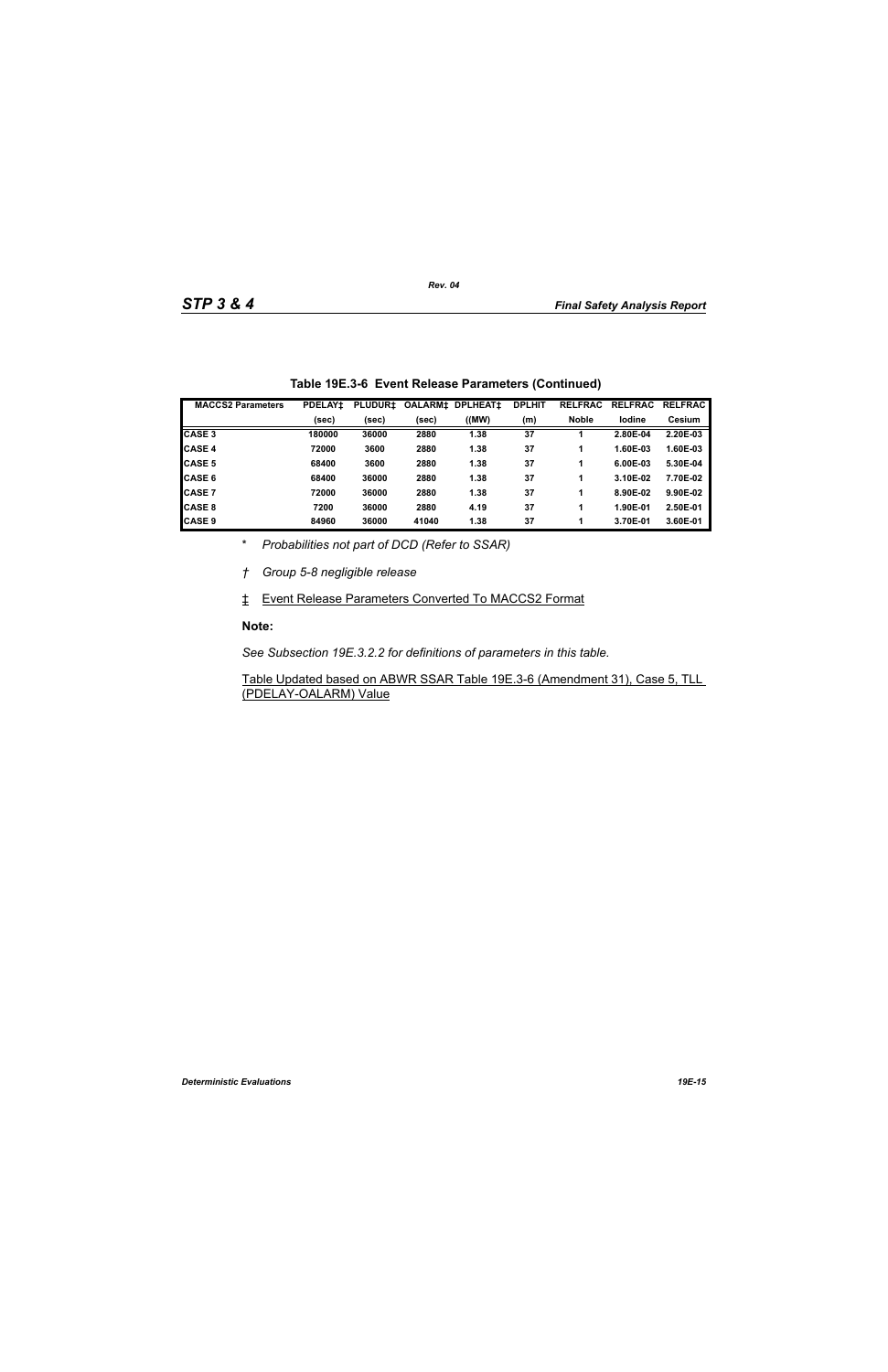| <b>MACCS2 Parameters</b> | <b>PDELAY1</b> | <b>PLUDUR±</b> | <b>OALARMI</b> | <b>DPLHEAT1</b> | <b>DPLHIT</b> | <b>RELFRAC</b> | <b>RELFRAC</b> | <b>RELFRAC</b> |
|--------------------------|----------------|----------------|----------------|-----------------|---------------|----------------|----------------|----------------|
|                          | (sec)          | (sec)          | (sec)          | (MW)            | (m)           | <b>Noble</b>   | lodine         | <b>Cesium</b>  |
| <b>CASE 3</b>            | 180000         | 36000          | 2880           | 1.38            | 37            |                | 2.80E-04       | 2.20E-03       |
| <b>CASE 4</b>            | 72000          | 3600           | 2880           | 1.38            | 37            |                | 1.60E-03       | 1.60E-03       |
| <b>CASE 5</b>            | 68400          | 3600           | 2880           | 1.38            | 37            |                | 6.00E-03       | 5.30E-04       |
| <b>ICASE 6</b>           | 68400          | 36000          | 2880           | 1.38            | 37            |                | 3.10E-02       | 7.70E-02       |
| <b>CASE 7</b>            | 72000          | 36000          | 2880           | 1.38            | 37            |                | 8.90E-02       | 9.90E-02       |
| <b>CASE 8</b>            | 7200           | 36000          | 2880           | 4.19            | 37            |                | 1.90E-01       | 2.50E-01       |
| <b>CASE 9</b>            | 84960          | 36000          | 41040          | 1.38            | 37            |                | 3.70E-01       | 3.60E-01       |

|  | Table 19E.3-6 Event Release Parameters (Continued) |  |  |
|--|----------------------------------------------------|--|--|
|--|----------------------------------------------------|--|--|

\* *Probabilities not part of DCD (Refer to SSAR)*

*† Group 5-8 negligible release*

‡ Event Release Parameters Converted To MACCS2 Format

#### **Note:**

*See Subsection 19E.3.2.2 for definitions of parameters in this table.*

Table Updated based on ABWR SSAR Table 19E.3-6 (Amendment 31), Case 5, TLL (PDELAY-OALARM) Value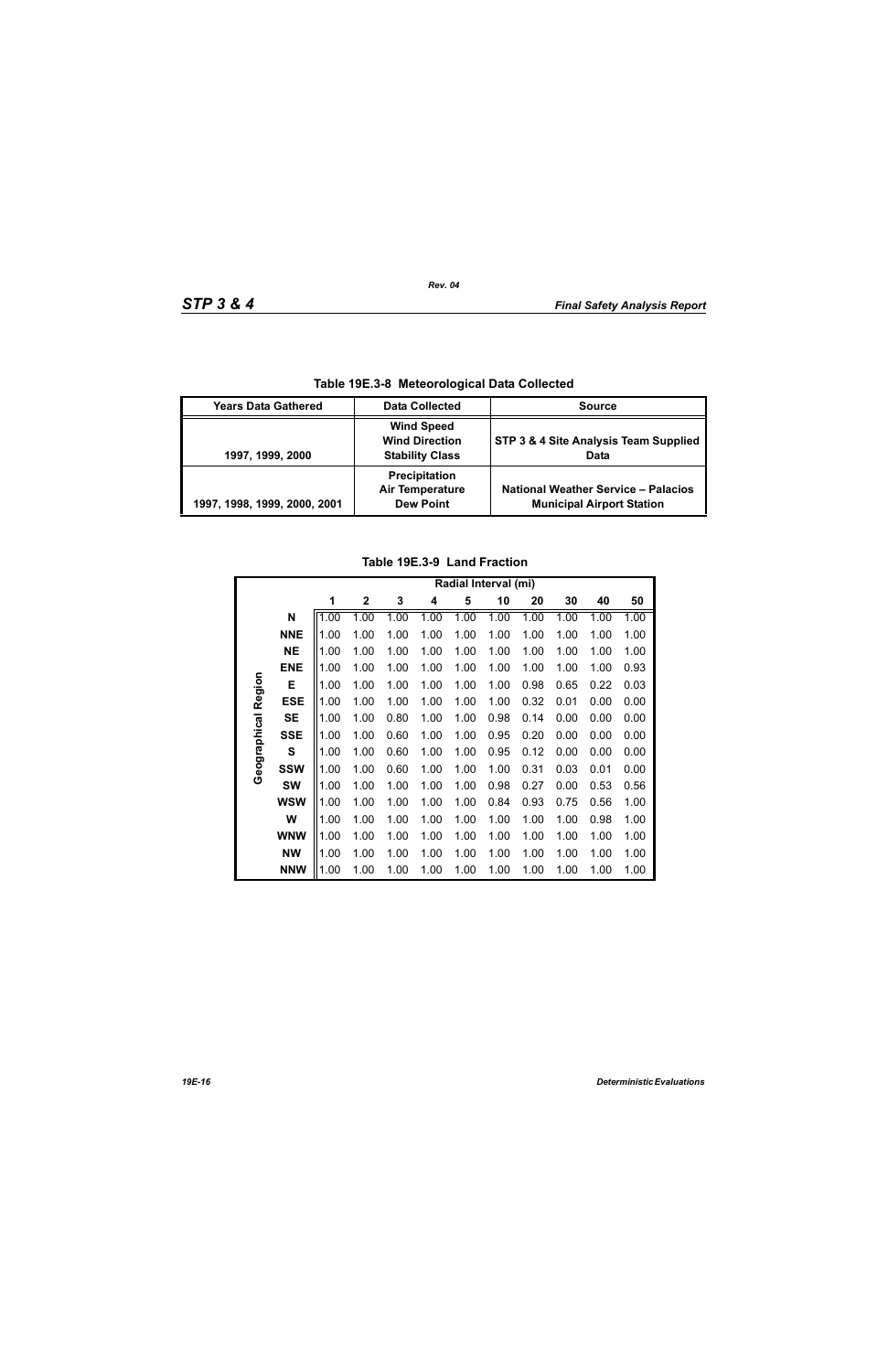| Table 19E.3-8 Meteorological Data Collected |                                                                      |                                                                                |  |  |  |  |
|---------------------------------------------|----------------------------------------------------------------------|--------------------------------------------------------------------------------|--|--|--|--|
| <b>Years Data Gathered</b>                  | <b>Data Collected</b>                                                | <b>Source</b>                                                                  |  |  |  |  |
| 1997, 1999, 2000                            | <b>Wind Speed</b><br><b>Wind Direction</b><br><b>Stability Class</b> | STP 3 & 4 Site Analysis Team Supplied<br>Data                                  |  |  |  |  |
| 1997, 1998, 1999, 2000, 2001                | Precipitation<br><b>Air Temperature</b><br><b>Dew Point</b>          | <b>National Weather Service - Palacios</b><br><b>Municipal Airport Station</b> |  |  |  |  |

**Table 19E.3-8 Meteorological Data Collected**

# **Table 19E.3-9 Land Fraction**

|              |            | Radial Interval (mi) |              |      |      |      |      |      |      |      |      |
|--------------|------------|----------------------|--------------|------|------|------|------|------|------|------|------|
|              |            | 1                    | $\mathbf{2}$ | 3    | 4    | 5    | 10   | 20   | 30   | 40   | 50   |
|              | N          | 1.00                 | 1.00         | 1.00 | 1.00 | 1.00 | 1.00 | 1.00 | 1.00 | 1.00 | 1.00 |
|              | <b>NNE</b> | 1.00                 | 1.00         | 1.00 | 1.00 | 1.00 | 1.00 | 1.00 | 1.00 | 1.00 | 1.00 |
|              | <b>NE</b>  | 1.00                 | 1.00         | 1.00 | 1.00 | 1.00 | 1.00 | 1.00 | 1.00 | 1.00 | 1.00 |
|              | <b>ENE</b> | 1.00                 | 1.00         | 1.00 | 1.00 | 1.00 | 1.00 | 1.00 | 1.00 | 1.00 | 0.93 |
|              | Е          | 1.00                 | 1.00         | 1.00 | 1.00 | 1.00 | 1.00 | 0.98 | 0.65 | 0.22 | 0.03 |
| Region       | <b>ESE</b> | 1.00                 | 1.00         | 1.00 | 1.00 | 1.00 | 1.00 | 0.32 | 0.01 | 0.00 | 0.00 |
|              | <b>SE</b>  | 1.00                 | 1.00         | 0.80 | 1.00 | 1.00 | 0.98 | 0.14 | 0.00 | 0.00 | 0.00 |
| Geographical | <b>SSE</b> | 1.00                 | 1.00         | 0.60 | 1.00 | 1.00 | 0.95 | 0.20 | 0.00 | 0.00 | 0.00 |
|              | S          | 1.00                 | 1.00         | 0.60 | 1.00 | 1.00 | 0.95 | 0.12 | 0.00 | 0.00 | 0.00 |
|              | <b>SSW</b> | 1.00                 | 1.00         | 0.60 | 1.00 | 1.00 | 1.00 | 0.31 | 0.03 | 0.01 | 0.00 |
|              | <b>SW</b>  | 1.00                 | 1.00         | 1.00 | 1.00 | 1.00 | 0.98 | 0.27 | 0.00 | 0.53 | 0.56 |
|              | <b>WSW</b> | 1.00                 | 1.00         | 1.00 | 1.00 | 1.00 | 0.84 | 0.93 | 0.75 | 0.56 | 1.00 |
|              | W          | 1.00                 | 1.00         | 1.00 | 1.00 | 1.00 | 1.00 | 1.00 | 1.00 | 0.98 | 1.00 |
|              | <b>WNW</b> | 1.00                 | 1.00         | 1.00 | 1.00 | 1.00 | 1.00 | 1.00 | 1.00 | 1.00 | 1.00 |
|              | <b>NW</b>  | 1.00                 | 1.00         | 1.00 | 1.00 | 1.00 | 1.00 | 1.00 | 1.00 | 1.00 | 1.00 |
|              | <b>NNW</b> | 1.00                 | 1.00         | 1.00 | 1.00 | 1.00 | 1.00 | 1.00 | 1.00 | 1.00 | 1.00 |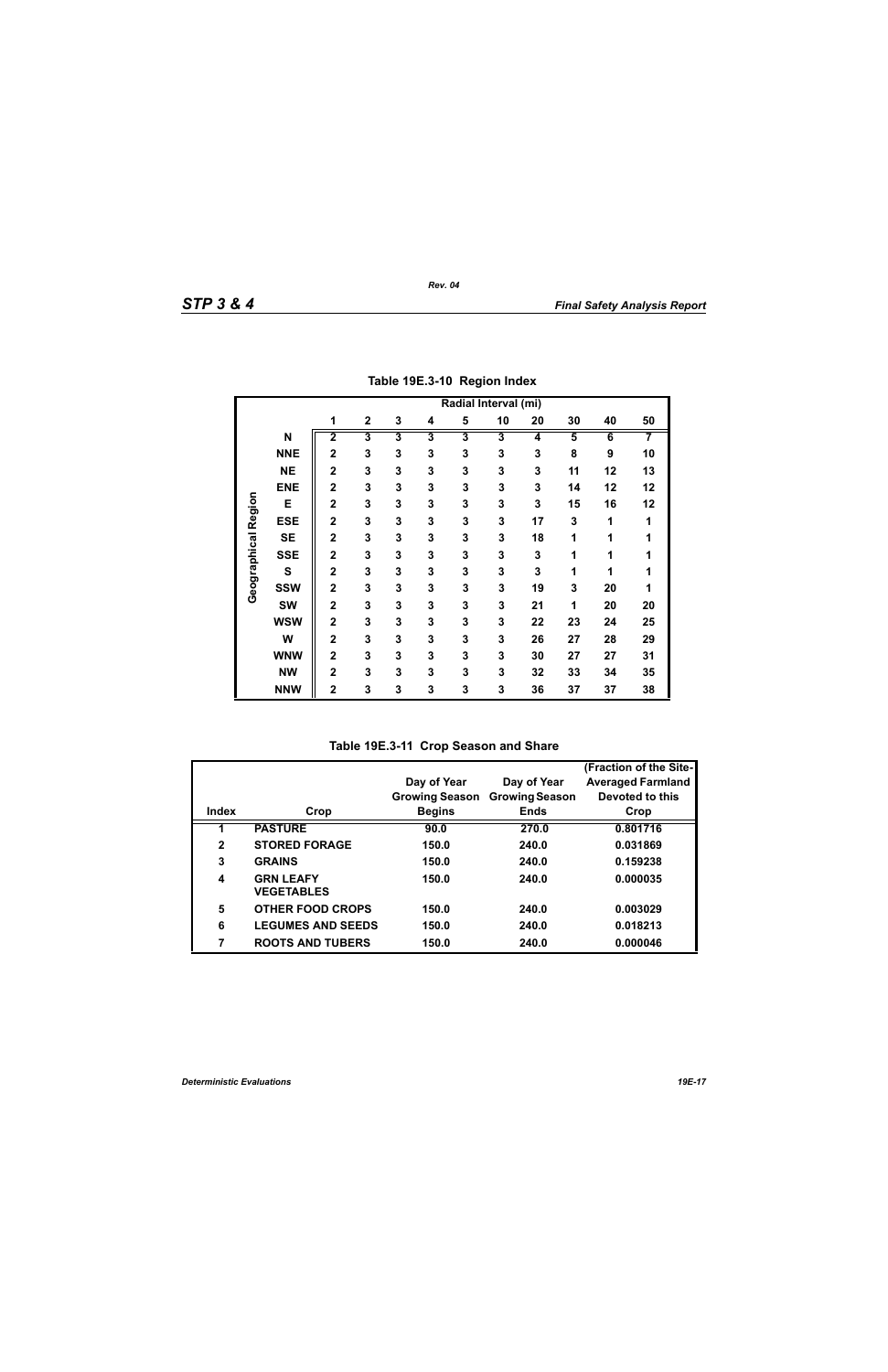|                     |             | Radial Interval (mi)    |                         |                         |                         |                         |    |    |                         |    |    |
|---------------------|-------------|-------------------------|-------------------------|-------------------------|-------------------------|-------------------------|----|----|-------------------------|----|----|
|                     |             | 1                       | $\mathbf 2$             | 3                       | 4                       | 5                       | 10 | 20 | 30                      | 40 | 50 |
|                     | N           | $\overline{\mathbf{2}}$ | $\overline{\mathbf{3}}$ | $\overline{\mathbf{3}}$ | $\overline{\mathbf{3}}$ | $\overline{\mathbf{3}}$ | 3  | 4  | $\overline{\mathbf{5}}$ | 6  | 7  |
|                     | <b>NNE</b>  | $\overline{2}$          | 3                       | 3                       | 3                       | 3                       | 3  | 3  | 8                       | 9  | 10 |
|                     | <b>NE</b>   | $\overline{2}$          | 3                       | 3                       | 3                       | 3                       | 3  | 3  | 11                      | 12 | 13 |
|                     | <b>ENE</b>  | $\overline{2}$          | 3                       | 3                       | 3                       | 3                       | 3  | 3  | 14                      | 12 | 12 |
|                     | E           | $\overline{2}$          | 3                       | 3                       | 3                       | 3                       | 3  | 3  | 15                      | 16 | 12 |
| Geographical Region | <b>ESE</b>  | $\mathbf 2$             | 3                       | 3                       | 3                       | 3                       | 3  | 17 | 3                       | 1  | 1  |
|                     | <b>SE</b>   | $\mathbf 2$             | 3                       | 3                       | 3                       | 3                       | 3  | 18 | 1                       | 1  | 1  |
|                     | <b>SSE</b>  | $\overline{2}$          | 3                       | 3                       | 3                       | 3                       | 3  | 3  | 1                       | 1  | 1  |
|                     | $\mathbf s$ | $\mathbf 2$             | 3                       | 3                       | 3                       | 3                       | 3  | 3  | 1                       | 1  | 1  |
|                     | <b>SSW</b>  | $\overline{2}$          | 3                       | 3                       | 3                       | 3                       | 3  | 19 | 3                       | 20 | 1  |
|                     | <b>SW</b>   | $\overline{2}$          | 3                       | 3                       | 3                       | 3                       | 3  | 21 | 1                       | 20 | 20 |
|                     | <b>WSW</b>  | $\overline{\mathbf{2}}$ | 3                       | 3                       | 3                       | 3                       | 3  | 22 | 23                      | 24 | 25 |
|                     | W           | $\overline{\mathbf{2}}$ | 3                       | 3                       | 3                       | 3                       | 3  | 26 | 27                      | 28 | 29 |
|                     | <b>WNW</b>  | $\mathbf 2$             | 3                       | 3                       | 3                       | 3                       | 3  | 30 | 27                      | 27 | 31 |
|                     | <b>NW</b>   | $\overline{\mathbf{2}}$ | 3                       | 3                       | 3                       | 3                       | 3  | 32 | 33                      | 34 | 35 |
|                     | <b>NNW</b>  | $\mathbf 2$             | 3                       | 3                       | 3                       | 3                       | 3  | 36 | 37                      | 37 | 38 |

**Table 19E.3-10 Region Index**

**Table 19E.3-11 Crop Season and Share**

|              |                                       |                       |                       | (Fraction of the Site-   |
|--------------|---------------------------------------|-----------------------|-----------------------|--------------------------|
|              |                                       | Day of Year           | Day of Year           | <b>Averaged Farmland</b> |
|              |                                       | <b>Growing Season</b> | <b>Growing Season</b> | Devoted to this          |
| Index        | Crop                                  | <b>Begins</b>         | <b>Ends</b>           | Crop                     |
|              | <b>PASTURE</b>                        | 90.0                  | 270.0                 | 0.801716                 |
| $\mathbf{2}$ | <b>STORED FORAGE</b>                  | 150.0                 | 240.0                 | 0.031869                 |
| 3            | <b>GRAINS</b>                         | 150.0                 | 240.0                 | 0.159238                 |
| 4            | <b>GRN LEAFY</b><br><b>VEGETABLES</b> | 150.0                 | 240.0                 | 0.000035                 |
| 5            | <b>OTHER FOOD CROPS</b>               | 150.0                 | 240.0                 | 0.003029                 |
| 6            | <b>LEGUMES AND SEEDS</b>              | 150.0                 | 240.0                 | 0.018213                 |
| 7            | <b>ROOTS AND TUBERS</b>               | 150.0                 | 240.0                 | 0.000046                 |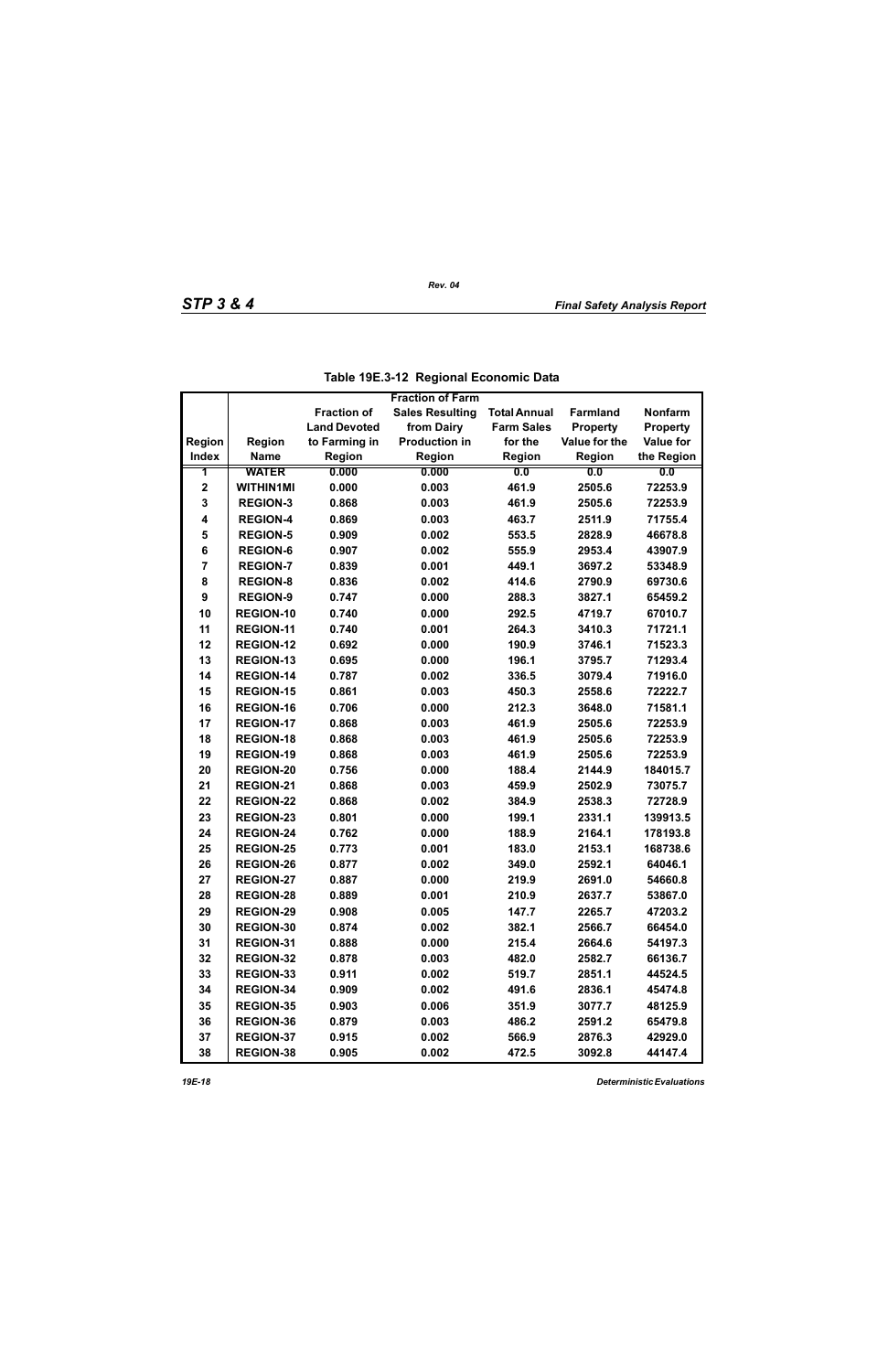|                         |                  |                     | <b>Fraction of Farm</b> |                     |                 |                  |
|-------------------------|------------------|---------------------|-------------------------|---------------------|-----------------|------------------|
|                         |                  | <b>Fraction of</b>  | <b>Sales Resulting</b>  | <b>Total Annual</b> | <b>Farmland</b> | <b>Nonfarm</b>   |
|                         |                  | <b>Land Devoted</b> | from Dairy              | <b>Farm Sales</b>   | <b>Property</b> | <b>Property</b>  |
| Region                  | <b>Region</b>    | to Farming in       | <b>Production in</b>    | for the             | Value for the   | <b>Value for</b> |
| <b>Index</b>            | <b>Name</b>      | <b>Region</b>       | Region                  | Region              | Region          | the Region       |
| 1                       | <b>WATER</b>     | 0.000               | 0.000                   | 0.0                 | 0.0             | 0.0              |
| $\mathbf 2$             | <b>WITHIN1MI</b> | 0.000               | 0.003                   | 461.9               | 2505.6          | 72253.9          |
| 3                       | <b>REGION-3</b>  | 0.868               | 0.003                   | 461.9               | 2505.6          | 72253.9          |
| $\overline{\mathbf{4}}$ | <b>REGION-4</b>  | 0.869               | 0.003                   | 463.7               | 2511.9          | 71755.4          |
| 5                       | <b>REGION-5</b>  | 0.909               | 0.002                   | 553.5               | 2828.9          | 46678.8          |
| 6                       | <b>REGION-6</b>  | 0.907               | 0.002                   | 555.9               | 2953.4          | 43907.9          |
| $\overline{7}$          | <b>REGION-7</b>  | 0.839               | 0.001                   | 449.1               | 3697.2          | 53348.9          |
| 8                       | <b>REGION-8</b>  | 0.836               | 0.002                   | 414.6               | 2790.9          | 69730.6          |
| 9                       | <b>REGION-9</b>  | 0.747               | 0.000                   | 288.3               | 3827.1          | 65459.2          |
| 10                      | REGION-10        | 0.740               | 0.000                   | 292.5               | 4719.7          | 67010.7          |
| 11                      | <b>REGION-11</b> | 0.740               | 0.001                   | 264.3               | 3410.3          | 71721.1          |
| 12                      | <b>REGION-12</b> | 0.692               | 0.000                   | 190.9               | 3746.1          | 71523.3          |
| 13                      | <b>REGION-13</b> | 0.695               | 0.000                   | 196.1               | 3795.7          | 71293.4          |
| 14                      | <b>REGION-14</b> | 0.787               | 0.002                   | 336.5               | 3079.4          | 71916.0          |
| 15                      | <b>REGION-15</b> | 0.861               | 0.003                   | 450.3               | 2558.6          | 72222.7          |
| 16                      | <b>REGION-16</b> | 0.706               | 0.000                   | 212.3               | 3648.0          | 71581.1          |
| 17                      | <b>REGION-17</b> | 0.868               | 0.003                   | 461.9               | 2505.6          | 72253.9          |
| 18                      | <b>REGION-18</b> | 0.868               | 0.003                   | 461.9               | 2505.6          | 72253.9          |
| 19                      | <b>REGION-19</b> | 0.868               | 0.003                   | 461.9               | 2505.6          | 72253.9          |
| 20                      | <b>REGION-20</b> | 0.756               | 0.000                   | 188.4               | 2144.9          | 184015.7         |
| 21                      | <b>REGION-21</b> | 0.868               | 0.003                   | 459.9               | 2502.9          | 73075.7          |
| 22                      | <b>REGION-22</b> | 0.868               | 0.002                   | 384.9               | 2538.3          | 72728.9          |
| 23                      | <b>REGION-23</b> | 0.801               | 0.000                   | 199.1               | 2331.1          | 139913.5         |
| 24                      | <b>REGION-24</b> | 0.762               | 0.000                   | 188.9               | 2164.1          | 178193.8         |
| 25                      | <b>REGION-25</b> | 0.773               | 0.001                   | 183.0               | 2153.1          | 168738.6         |
| 26                      | <b>REGION-26</b> | 0.877               | 0.002                   | 349.0               | 2592.1          | 64046.1          |
| 27                      | <b>REGION-27</b> | 0.887               | 0.000                   | 219.9               | 2691.0          | 54660.8          |
| 28                      | <b>REGION-28</b> | 0.889               | 0.001                   | 210.9               | 2637.7          | 53867.0          |
| 29                      | <b>REGION-29</b> | 0.908               | 0.005                   | 147.7               | 2265.7          | 47203.2          |
| 30                      | REGION-30        | 0.874               | 0.002                   | 382.1               | 2566.7          | 66454.0          |
| 31                      | REGION-31        | 0.888               | 0.000                   | 215.4               | 2664.6          | 54197.3          |
| 32                      | <b>REGION-32</b> | 0.878               | 0.003                   | 482.0               | 2582.7          | 66136.7          |
| 33                      | REGION-33        | 0.911               | 0.002                   | 519.7               | 2851.1          | 44524.5          |
| 34                      | REGION-34        | 0.909               | 0.002                   | 491.6               | 2836.1          | 45474.8          |
| 35                      | <b>REGION-35</b> | 0.903               | 0.006                   | 351.9               | 3077.7          | 48125.9          |
| 36                      | REGION-36        | 0.879               | 0.003                   | 486.2               | 2591.2          | 65479.8          |
| 37                      | <b>REGION-37</b> | 0.915               | 0.002                   | 566.9               | 2876.3          | 42929.0          |
| 38                      | <b>REGION-38</b> | 0.905               | 0.002                   | 472.5               | 3092.8          | 44147.4          |

|  | Table 19E.3-12 Regional Economic Data |
|--|---------------------------------------|
|--|---------------------------------------|